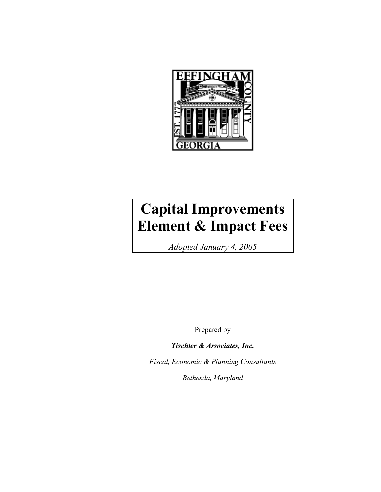

# **Capital Improvements Element & Impact Fees**

*Adopted January 4, 2005* 

Prepared by

*Tischler & Associates, Inc.* 

*Fiscal, Economic & Planning Consultants* 

*Bethesda, Maryland*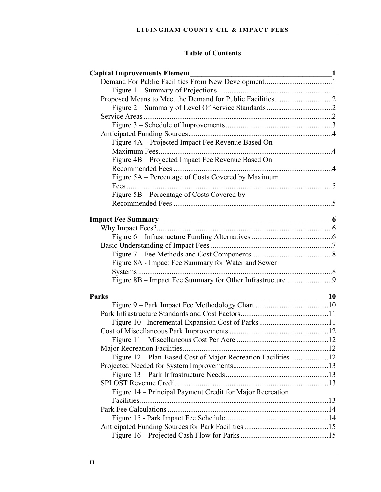# **Table of Contents**

| <b>Capital Improvements Element</b><br>$\frac{1}{\sqrt{1-\frac{1}{2}}}\left\vert \frac{1}{\sqrt{1-\frac{1}{2}}}\right\vert$ |  |
|-----------------------------------------------------------------------------------------------------------------------------|--|
|                                                                                                                             |  |
|                                                                                                                             |  |
|                                                                                                                             |  |
|                                                                                                                             |  |
|                                                                                                                             |  |
|                                                                                                                             |  |
|                                                                                                                             |  |
| Figure 4A - Projected Impact Fee Revenue Based On                                                                           |  |
|                                                                                                                             |  |
| Figure 4B - Projected Impact Fee Revenue Based On                                                                           |  |
|                                                                                                                             |  |
| Figure 5A – Percentage of Costs Covered by Maximum                                                                          |  |
|                                                                                                                             |  |
| Figure 5B – Percentage of Costs Covered by                                                                                  |  |
|                                                                                                                             |  |
|                                                                                                                             |  |
|                                                                                                                             |  |
|                                                                                                                             |  |
|                                                                                                                             |  |
|                                                                                                                             |  |
| Figure 8A - Impact Fee Summary for Water and Sewer                                                                          |  |
|                                                                                                                             |  |
|                                                                                                                             |  |
|                                                                                                                             |  |
| <b>Parks</b><br>$\sim$ 10                                                                                                   |  |
|                                                                                                                             |  |
|                                                                                                                             |  |
|                                                                                                                             |  |
|                                                                                                                             |  |
|                                                                                                                             |  |
|                                                                                                                             |  |
|                                                                                                                             |  |
|                                                                                                                             |  |
|                                                                                                                             |  |
|                                                                                                                             |  |
| Figure 14 - Principal Payment Credit for Major Recreation                                                                   |  |
|                                                                                                                             |  |
|                                                                                                                             |  |
|                                                                                                                             |  |
|                                                                                                                             |  |
|                                                                                                                             |  |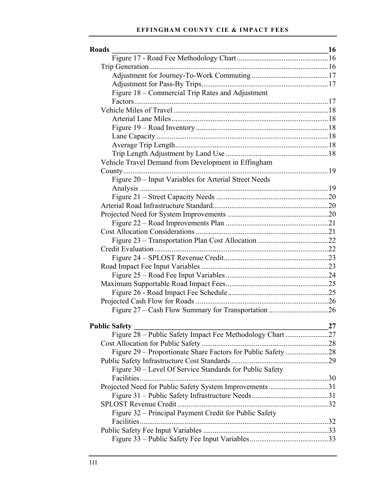#### **EFFINGHAM COUNTY CIE & IMPACT FEES**

| <b>Roads</b>                                              | 16 |
|-----------------------------------------------------------|----|
|                                                           |    |
|                                                           |    |
|                                                           |    |
|                                                           |    |
| Figure 18 – Commercial Trip Rates and Adjustment          |    |
|                                                           |    |
|                                                           |    |
|                                                           |    |
|                                                           |    |
|                                                           |    |
|                                                           |    |
|                                                           |    |
| Vehicle Travel Demand from Development in Effingham       |    |
|                                                           |    |
| Figure 20 - Input Variables for Arterial Street Needs     |    |
|                                                           |    |
|                                                           |    |
|                                                           |    |
|                                                           |    |
|                                                           |    |
|                                                           |    |
|                                                           |    |
|                                                           |    |
|                                                           |    |
|                                                           |    |
|                                                           |    |
|                                                           |    |
|                                                           |    |
|                                                           |    |
|                                                           |    |
|                                                           |    |
| <b>Public Safety</b>                                      | 27 |
| Figure 28 - Public Safety Impact Fee Methodology Chart 27 |    |
|                                                           |    |
|                                                           |    |
|                                                           |    |
| Figure 30 – Level Of Service Standards for Public Safety  |    |
|                                                           |    |
| Projected Need for Public Safety System Improvements31    |    |
|                                                           |    |
|                                                           |    |
| Figure 32 – Principal Payment Credit for Public Safety    |    |
|                                                           |    |
|                                                           |    |
|                                                           |    |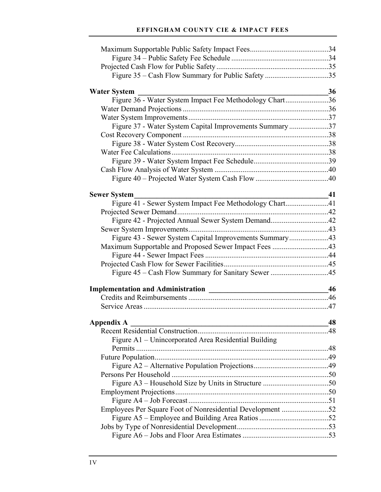#### **EFFINGHAM COUNTY CIE & IMPACT FEES**

| Figure 35 - Cash Flow Summary for Public Safety 35                             |    |
|--------------------------------------------------------------------------------|----|
|                                                                                | 36 |
| <b>Water System</b><br>Figure 36 - Water System Impact Fee Methodology Chart36 |    |
|                                                                                |    |
|                                                                                |    |
| Figure 37 - Water System Capital Improvements Summary37                        |    |
|                                                                                |    |
|                                                                                |    |
|                                                                                |    |
|                                                                                |    |
|                                                                                |    |
|                                                                                |    |
|                                                                                |    |
| <b>Sewer System</b>                                                            | 41 |
| Figure 41 - Sewer System Impact Fee Methodology Chart41                        |    |
|                                                                                |    |
|                                                                                |    |
|                                                                                |    |
| Figure 43 - Sewer System Capital Improvements Summary43                        |    |
| Maximum Supportable and Proposed Sewer Impact Fees 43                          |    |
|                                                                                |    |
|                                                                                |    |
|                                                                                |    |
|                                                                                | 46 |
|                                                                                |    |
|                                                                                |    |
| Appendix A                                                                     | 48 |
|                                                                                |    |
| Figure A1 - Unincorporated Area Residential Building                           |    |
|                                                                                |    |
|                                                                                |    |
|                                                                                |    |
|                                                                                |    |
|                                                                                |    |
|                                                                                |    |
|                                                                                |    |
| Employees Per Square Foot of Nonresidential Development 52                     |    |
|                                                                                |    |
|                                                                                |    |
|                                                                                |    |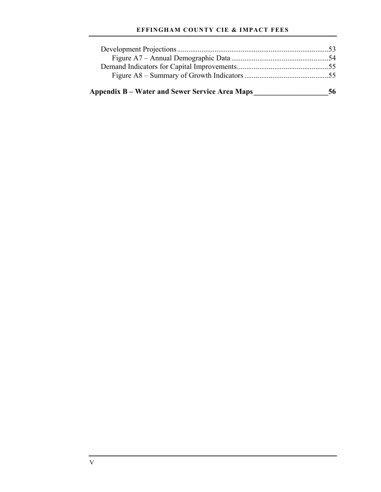#### **EFFINGHAM COUNTY CIE & IMPACT FEES**

| <b>Appendix B – Water and Sewer Service Area Maps</b> | 56 |
|-------------------------------------------------------|----|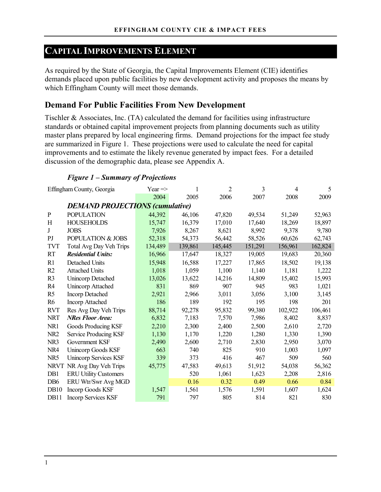# **CAPITAL IMPROVEMENTS ELEMENT**

As required by the State of Georgia, the Capital Improvements Element (CIE) identifies demands placed upon public facilities by new development activity and proposes the means by which Effingham County will meet those demands.

### **Demand For Public Facilities From New Development**

Tischler & Associates, Inc. (TA) calculated the demand for facilities using infrastructure standards or obtained capital improvement projects from planning documents such as utility master plans prepared by local engineering firms. Demand projections for the impact fee study are summarized in Figure 1. These projections were used to calculate the need for capital improvements and to estimate the likely revenue generated by impact fees. For a detailed discussion of the demographic data, please see Appendix A.

### *Figure 1 – Summary of Projections*

|                  | Effingham County, Georgia              | Year $\Rightarrow$ | 1       | $\overline{2}$ | $\overline{3}$ | 4       | 5       |
|------------------|----------------------------------------|--------------------|---------|----------------|----------------|---------|---------|
|                  |                                        | 2004               | 2005    | 2006           | 2007           | 2008    | 2009    |
|                  | <b>DEMAND PROJECTIONS (cumulative)</b> |                    |         |                |                |         |         |
| $\mathbf{P}$     | <b>POPULATION</b>                      | 44,392             | 46,106  | 47,820         | 49,534         | 51,249  | 52,963  |
| H                | <b>HOUSEHOLDS</b>                      | 15,747             | 16,379  | 17,010         | 17,640         | 18,269  | 18,897  |
| J                | <b>JOBS</b>                            | 7,926              | 8,267   | 8,621          | 8,992          | 9,378   | 9,780   |
| P <sub>J</sub>   | POPULATION & JOBS                      | 52,318             | 54,373  | 56,442         | 58,526         | 60,626  | 62,743  |
| <b>TVT</b>       | Total Avg Day Veh Trips                | 134,489            | 139,861 | 145,445        | 151,291        | 156,961 | 162,824 |
| <b>RT</b>        | <b>Residential Units:</b>              | 16,966             | 17,647  | 18,327         | 19,005         | 19,683  | 20,360  |
| R1               | Detached Units                         | 15,948             | 16,588  | 17,227         | 17,865         | 18,502  | 19,138  |
| R2               | <b>Attached Units</b>                  | 1,018              | 1,059   | 1,100          | 1,140          | 1,181   | 1,222   |
| R <sub>3</sub>   | <b>Unincorp Detached</b>               | 13,026             | 13,622  | 14,216         | 14,809         | 15,402  | 15,993  |
| R <sub>4</sub>   | Unincorp Attached                      | 831                | 869     | 907            | 945            | 983     | 1,021   |
| R <sub>5</sub>   | <b>Incorp Detached</b>                 | 2,921              | 2,966   | 3,011          | 3,056          | 3,100   | 3,145   |
| R <sub>6</sub>   | <b>Incorp Attached</b>                 | 186                | 189     | 192            | 195            | 198     | 201     |
| <b>RVT</b>       | Res Avg Day Veh Trips                  | 88,714             | 92,278  | 95,832         | 99,380         | 102,922 | 106,461 |
| <b>NRT</b>       | <b>NRes Floor Area:</b>                | 6,832              | 7,183   | 7,570          | 7,986          | 8,402   | 8,837   |
| NR1              | Goods Producing KSF                    | 2,210              | 2,300   | 2,400          | 2,500          | 2,610   | 2,720   |
| NR <sub>2</sub>  | Service Producing KSF                  | 1,130              | 1,170   | 1,220          | 1,280          | 1,330   | 1,390   |
| NR <sub>3</sub>  | Government KSF                         | 2,490              | 2,600   | 2,710          | 2,830          | 2,950   | 3,070   |
| NR4              | <b>Unincorp Goods KSF</b>              | 663                | 740     | 825            | 910            | 1,003   | 1,097   |
| NR5              | <b>Unincorp Services KSF</b>           | 339                | 373     | 416            | 467            | 509     | 560     |
| <b>NRVT</b>      | NR Avg Day Veh Trips                   | 45,775             | 47,583  | 49,613         | 51,912         | 54,038  | 56,362  |
| D <sub>B1</sub>  | <b>ERU Utility Customers</b>           |                    | 520     | 1,061          | 1,623          | 2,208   | 2,816   |
| DB <sub>6</sub>  | ERU Wtr/Swr Avg MGD                    |                    | 0.16    | 0.32           | 0.49           | 0.66    | 0.84    |
| DB <sub>10</sub> | <b>Incorp Goods KSF</b>                | 1,547              | 1,561   | 1,576          | 1,591          | 1,607   | 1,624   |
| DB11             | <b>Incorp Services KSF</b>             | 791                | 797     | 805            | 814            | 821     | 830     |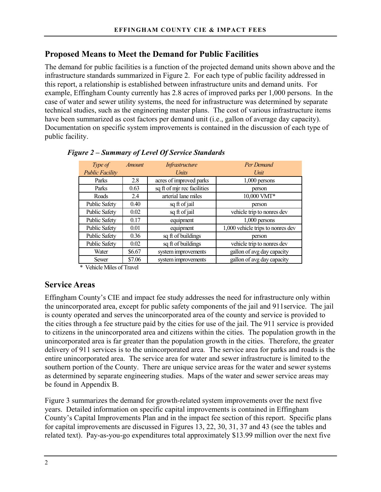# **Proposed Means to Meet the Demand for Public Facilities**

The demand for public facilities is a function of the projected demand units shown above and the infrastructure standards summarized in Figure 2. For each type of public facility addressed in this report, a relationship is established between infrastructure units and demand units. For example, Effingham County currently has 2.8 acres of improved parks per 1,000 persons. In the case of water and sewer utility systems, the need for infrastructure was determined by separate technical studies, such as the engineering master plans. The cost of various infrastructure items have been summarized as cost factors per demand unit (i.e., gallon of average day capacity). Documentation on specific system improvements is contained in the discussion of each type of public facility.

| Type of                | Amount | Infrastructure              | Per Demand                        |
|------------------------|--------|-----------------------------|-----------------------------------|
| <b>Public Facility</b> |        | <i>Units</i>                | Unit                              |
| Parks                  | 2.8    | acres of improved parks     | $1,000$ persons                   |
| Parks                  | 0.63   | sq ft of mjr rec facilities | person                            |
| Roads                  | 2.4    | arterial lane miles         | 10,000 VMT*                       |
| <b>Public Safety</b>   | 0.40   | sq ft of jail               | person                            |
| <b>Public Safety</b>   | 0.02   | sq ft of jail               | vehicle trip to nonres dev        |
| <b>Public Safety</b>   | 0.17   | equipment                   | $1,000$ persons                   |
| <b>Public Safety</b>   | 0.01   | equipment                   | 1,000 vehicle trips to nonres dev |
| <b>Public Safety</b>   | 0.36   | sq ft of buildings          | person                            |
| <b>Public Safety</b>   | 0.02   | sq ft of buildings          | vehicle trip to nonres dev        |
| Water                  | \$6.67 | system improvements         | gallon of avg day capacity        |
| Sewer                  | \$7.06 | system improvements         | gallon of avg day capacity        |

#### *Figure 2 – Summary of Level Of Service Standards*

\* Vehicle Miles of Travel

### **Service Areas**

Effingham County's CIE and impact fee study addresses the need for infrastructure only within the unincorporated area, except for public safety components of the jail and 911service. The jail is county operated and serves the unincorporated area of the county and service is provided to the cities through a fee structure paid by the cities for use of the jail. The 911 service is provided to citizens in the unincorporated area and citizens within the cities. The population growth in the unincorporated area is far greater than the population growth in the cities. Therefore, the greater delivery of 911 services is to the unincorporated area. The service area for parks and roads is the entire unincorporated area. The service area for water and sewer infrastructure is limited to the southern portion of the County. There are unique service areas for the water and sewer systems as determined by separate engineering studies. Maps of the water and sewer service areas may be found in Appendix B.

Figure 3 summarizes the demand for growth-related system improvements over the next five years. Detailed information on specific capital improvements is contained in Effingham County's Capital Improvements Plan and in the impact fee section of this report. Specific plans for capital improvements are discussed in Figures 13, 22, 30, 31, 37 and 43 (see the tables and related text). Pay-as-you-go expenditures total approximately \$13.99 million over the next five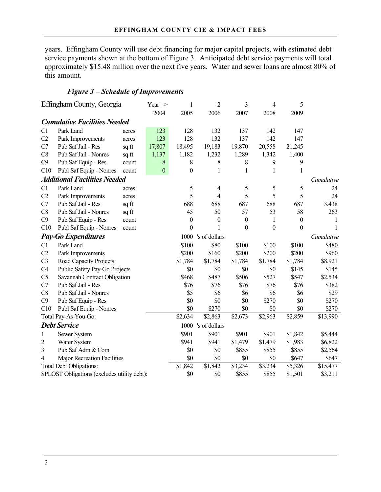years. Effingham County will use debt financing for major capital projects, with estimated debt service payments shown at the bottom of Figure 3. Anticipated debt service payments will total approximately \$15.48 million over the next five years. Water and sewer loans are almost 80% of this amount.

### *Figure 3 – Schedule of Improvements*

|                | Effingham County, Georgia                   |       | Year $\Rightarrow$ | 1                | $\overline{2}$     | 3                | 4                | 5                |                      |
|----------------|---------------------------------------------|-------|--------------------|------------------|--------------------|------------------|------------------|------------------|----------------------|
|                |                                             |       | 2004               | 2005             | 2006               | 2007             | 2008             | 2009             |                      |
|                | <b>Cumulative Facilities Needed</b>         |       |                    |                  |                    |                  |                  |                  |                      |
| C1             | Park Land                                   | acres | 123                | 128              | 132                | 137              | 142              | 147              |                      |
| C <sub>2</sub> | Park Improvements                           | acres | 123                | 128              | 132                | 137              | 142              | 147              |                      |
| C7             | Pub Saf Jail - Res                          | sq ft | 17,807             | 18,495           | 19,183             | 19,870           | 20,558           | 21,245           |                      |
| C8             | Pub Saf Jail - Nonres                       | sq ft | 1,137              | 1,182            | 1,232              | 1,289            | 1,342            | 1,400            |                      |
| C9             | Pub Saf Equip - Res                         | count | $\,8$              | 8                | 8                  | 8                | 9                | 9                |                      |
| C10            | Publ Saf Equip - Nonres                     | count | $\boldsymbol{0}$   | $\theta$         | 1                  | 1                | 1                | 1                |                      |
|                | <b>Additional Facilities Needed</b>         |       |                    |                  |                    |                  |                  |                  | Cumulative           |
| C1             | Park Land                                   | acres |                    | 5                | 4                  | 5                | 5                | 5                | 24                   |
| C <sub>2</sub> | Park Improvements                           | acres |                    | 5                | 4                  | 5                | 5                | 5                | 24                   |
| C7             | Pub Saf Jail - Res                          | sq ft |                    | 688              | 688                | 687              | 688              | 687              | 3,438                |
| C8             | Pub Saf Jail - Nonres                       | sq ft |                    | 45               | 50                 | 57               | 53               | 58               | 263                  |
| C9             | Pub Saf Equip - Res                         | count |                    | $\boldsymbol{0}$ | $\boldsymbol{0}$   | $\boldsymbol{0}$ | 1                | $\boldsymbol{0}$ | 1                    |
| C10            | Publ Saf Equip - Nonres                     | count |                    | $\boldsymbol{0}$ | 1                  | $\boldsymbol{0}$ | $\boldsymbol{0}$ | $\boldsymbol{0}$ |                      |
|                | <b>Pay-Go Expenditures</b>                  |       |                    | 1000             | 's of dollars      |                  |                  |                  | Cumulative           |
| C1             | Park Land                                   |       |                    | \$100            | \$80               | \$100            | \$100            | \$100            | \$480                |
| C <sub>2</sub> | Park Improvements                           |       |                    | \$200            | \$160              | \$200            | \$200            | \$200            | \$960                |
| C <sub>3</sub> | Road Capacity Projects                      |       |                    | \$1,784          | \$1,784            | \$1,784          | \$1,784          | \$1,784          | \$8,921              |
| C4             | Public Safety Pay-Go Projects               |       |                    | \$0              | \$0                | \$0              | \$0              | \$145            | \$145                |
| C <sub>5</sub> | Savannah Contract Obligation                |       |                    | \$468            | \$487              | \$506            | \$527            | \$547            | \$2,534              |
| C7             | Pub Saf Jail - Res                          |       |                    | \$76             | \$76               | \$76             | \$76             | \$76             | \$382                |
| C8             | Pub Saf Jail - Nonres                       |       |                    | \$5              | \$6                | \$6              | \$6              | \$6              | \$29                 |
| C9             | Pub Saf Equip - Res                         |       |                    | \$0              | \$0                | \$0              | \$270            | \$0              | \$270                |
| C10            | Publ Saf Equip - Nonres                     |       |                    | \$0              | \$270              | \$0              | \$0              | \$0              | \$270                |
|                | Total Pay-As-You-Go:                        |       |                    | \$2,634          | \$2,863            | \$2,673          | \$2,963          | \$2,859          | \$13,990             |
|                | <b>Debt Service</b>                         |       |                    |                  | 1000 's of dollars |                  |                  |                  |                      |
| 1              | Sewer System                                |       |                    | \$901            | \$901              | \$901            | \$901            | \$1,842          | \$5,444              |
| 2              | Water System                                |       |                    | \$941            | \$941              | \$1,479          | \$1,479          | \$1,983          | \$6,822              |
| 3              | Pub Saf Adm & Com                           |       |                    | \$0              | \$0                | \$855            | \$855            | \$855            | \$2,564              |
| 4              | Major Recreation Facilities                 |       |                    | \$0              | \$0                | \$0              | \$0              | \$647            | \$647                |
|                | <b>Total Debt Obligations:</b>              |       |                    | \$1,842          | \$1,842            | \$3,234          | \$3,234          | \$5,326          | $\overline{$}15,477$ |
|                | SPLOST Obligations (excludes utility debt): |       |                    | \$0              | \$0                | \$855            | \$855            | \$1,501          | \$3,211              |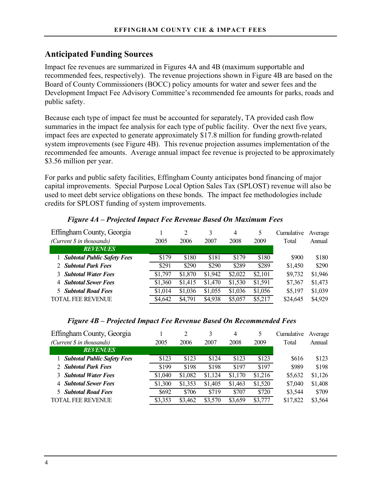# **Anticipated Funding Sources**

Impact fee revenues are summarized in Figures 4A and 4B (maximum supportable and recommended fees, respectively). The revenue projections shown in Figure 4B are based on the Board of County Commissioners (BOCC) policy amounts for water and sewer fees and the Development Impact Fee Advisory Committee's recommended fee amounts for parks, roads and public safety.

Because each type of impact fee must be accounted for separately, TA provided cash flow summaries in the impact fee analysis for each type of public facility. Over the next five years, impact fees are expected to generate approximately \$17.8 million for funding growth-related system improvements (see Figure 4B). This revenue projection assumes implementation of the recommended fee amounts. Average annual impact fee revenue is projected to be approximately \$3.56 million per year.

For parks and public safety facilities, Effingham County anticipates bond financing of major capital improvements. Special Purpose Local Option Sales Tax (SPLOST) revenue will also be used to meet debt service obligations on these bonds. The impact fee methodologies include credits for SPLOST funding of system improvements.

| Effingham County, Georgia          |         |         |         | 4       | 5       | Cumulative | Average |
|------------------------------------|---------|---------|---------|---------|---------|------------|---------|
| (Current \$ in thousands)          | 2005    | 2006    | 2007    | 2008    | 2009    | Total      | Annual  |
| <b>REVENUES</b>                    |         |         |         |         |         |            |         |
| <b>Subtotal Public Safety Fees</b> | \$179   | \$180   | \$181   | \$179   | \$180   | \$900      | \$180   |
| 2 Subtotal Park Fees               | \$291   | \$290   | \$290   | \$289   | \$289   | \$1,450    | \$290   |
| <b>3</b> Subtotal Water Fees       | \$1,797 | \$1,870 | \$1,942 | \$2,022 | \$2,101 | \$9,732    | \$1,946 |
| 4 Subtotal Sewer Fees              | \$1,360 | \$1,415 | \$1,470 | \$1,530 | \$1,591 | \$7,367    | \$1,473 |
| <b>5</b> Subtotal Road Fees        | \$1,014 | \$1,036 | \$1,055 | \$1,036 | \$1,056 | \$5,197    | \$1,039 |
| <b>TOTAL FEE REVENUE</b>           | \$4,642 | \$4,791 | \$4,938 | \$5,057 | \$5,217 | \$24,645   | \$4,929 |

### *Figure 4A – Projected Impact Fee Revenue Based On Maximum Fees*

| Effingham County, Georgia     |         | 2       |         | $\overline{4}$ | 5       | Cumulative | Average |
|-------------------------------|---------|---------|---------|----------------|---------|------------|---------|
| (Current \$ in thousands)     | 2005    | 2006    | 2007    | 2008           | 2009    | Total      | Annual  |
| <b>REVENUES</b>               |         |         |         |                |         |            |         |
| 1 Subtotal Public Safety Fees | \$123   | \$123   | \$124   | \$123          | \$123   | \$616      | \$123   |
| 2 Subtotal Park Fees          | \$199   | \$198   | \$198   | \$197          | \$197   | \$989      | \$198   |
| <b>3</b> Subtotal Water Fees  | \$1,040 | \$1,082 | \$1,124 | \$1,170        | \$1,216 | \$5,632    | \$1,126 |
| 4 Subtotal Sewer Fees         | \$1,300 | \$1,353 | \$1,405 | \$1,463        | \$1,520 | \$7,040    | \$1,408 |
| <b>5</b> Subtotal Road Fees   | \$692   | \$706   | \$719   | \$707          | \$720   | \$3,544    | \$709   |
| <b>TOTAL FEE REVENUE</b>      | \$3,353 | \$3,462 | \$3,570 | \$3,659        | \$3,777 | \$17,822   | \$3,564 |
|                               |         |         |         |                |         |            |         |

### *Figure 4B – Projected Impact Fee Revenue Based On Recommended Fees*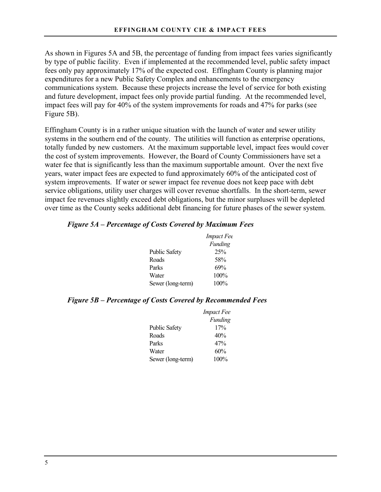As shown in Figures 5A and 5B, the percentage of funding from impact fees varies significantly by type of public facility. Even if implemented at the recommended level, public safety impact fees only pay approximately 17% of the expected cost. Effingham County is planning major expenditures for a new Public Safety Complex and enhancements to the emergency communications system. Because these projects increase the level of service for both existing and future development, impact fees only provide partial funding. At the recommended level, impact fees will pay for 40% of the system improvements for roads and 47% for parks (see Figure 5B).

Effingham County is in a rather unique situation with the launch of water and sewer utility systems in the southern end of the county. The utilities will function as enterprise operations, totally funded by new customers. At the maximum supportable level, impact fees would cover the cost of system improvements. However, the Board of County Commissioners have set a water fee that is significantly less than the maximum supportable amount. Over the next five years, water impact fees are expected to fund approximately 60% of the anticipated cost of system improvements. If water or sewer impact fee revenue does not keep pace with debt service obligations, utility user charges will cover revenue shortfalls. In the short-term, sewer impact fee revenues slightly exceed debt obligations, but the minor surpluses will be depleted over time as the County seeks additional debt financing for future phases of the sewer system.

|  | Figure 5A – Percentage of Costs Covered by Maximum Fees |  |  |  |
|--|---------------------------------------------------------|--|--|--|
|  |                                                         |  |  |  |

|                      | <i>Impact Fee</i> |
|----------------------|-------------------|
|                      | Funding           |
| <b>Public Safety</b> | 25%               |
| Roads                | 58%               |
| Parks                | 69%               |
| Water                | $100\%$           |
| Sewer (long-term)    | $100\%$           |

### *Figure 5B – Percentage of Costs Covered by Recommended Fees*

|                      | <i>Impact Fee</i> |
|----------------------|-------------------|
|                      | Funding           |
| <b>Public Safety</b> | 17%               |
| Roads                | 40%               |
| Parks                | 47%               |
| Water                | 60%               |
| Sewer (long-term)    | 100%              |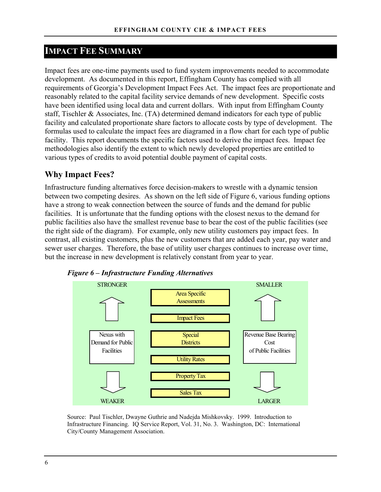# **IMPACT FEE SUMMARY**

Impact fees are one-time payments used to fund system improvements needed to accommodate development. As documented in this report, Effingham County has complied with all requirements of Georgia's Development Impact Fees Act. The impact fees are proportionate and reasonably related to the capital facility service demands of new development. Specific costs have been identified using local data and current dollars. With input from Effingham County staff, Tischler & Associates, Inc. (TA) determined demand indicators for each type of public facility and calculated proportionate share factors to allocate costs by type of development. The formulas used to calculate the impact fees are diagramed in a flow chart for each type of public facility. This report documents the specific factors used to derive the impact fees. Impact fee methodologies also identify the extent to which newly developed properties are entitled to various types of credits to avoid potential double payment of capital costs.

### **Why Impact Fees?**

Infrastructure funding alternatives force decision-makers to wrestle with a dynamic tension between two competing desires. As shown on the left side of Figure 6, various funding options have a strong to weak connection between the source of funds and the demand for public facilities. It is unfortunate that the funding options with the closest nexus to the demand for public facilities also have the smallest revenue base to bear the cost of the public facilities (see the right side of the diagram). For example, only new utility customers pay impact fees. In contrast, all existing customers, plus the new customers that are added each year, pay water and sewer user charges. Therefore, the base of utility user charges continues to increase over time, but the increase in new development is relatively constant from year to year.





Source: Paul Tischler, Dwayne Guthrie and Nadejda Mishkovsky. 1999. Introduction to Infrastructure Financing. IQ Service Report, Vol. 31, No. 3. Washington, DC: International City/County Management Association.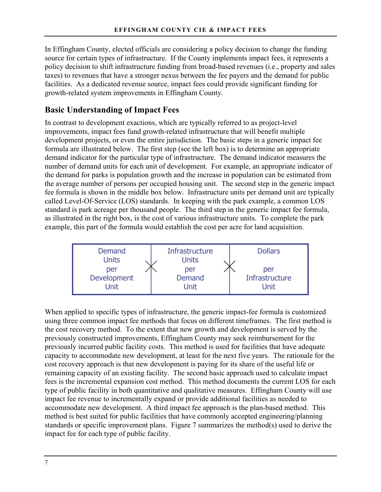In Effingham County, elected officials are considering a policy decision to change the funding source for certain types of infrastructure. If the County implements impact fees, it represents a policy decision to shift infrastructure funding from broad-based revenues (i.e., property and sales taxes) to revenues that have a stronger nexus between the fee payers and the demand for public facilities. As a dedicated revenue source, impact fees could provide significant funding for growth-related system improvements in Effingham County.

### **Basic Understanding of Impact Fees**

In contrast to development exactions, which are typically referred to as project-level improvements, impact fees fund growth-related infrastructure that will benefit multiple development projects, or even the entire jurisdiction. The basic steps in a generic impact fee formula are illustrated below. The first step (see the left box) is to determine an appropriate demand indicator for the particular type of infrastructure. The demand indicator measures the number of demand units for each unit of development. For example, an appropriate indicator of the demand for parks is population growth and the increase in population can be estimated from the average number of persons per occupied housing unit. The second step in the generic impact fee formula is shown in the middle box below. Infrastructure units per demand unit are typically called Level-Of-Service (LOS) standards. In keeping with the park example, a common LOS standard is park acreage per thousand people. The third step in the generic impact fee formula, as illustrated in the right box, is the cost of various infrastructure units. To complete the park example, this part of the formula would establish the cost per acre for land acquisition.



When applied to specific types of infrastructure, the generic impact-fee formula is customized using three common impact fee methods that focus on different timeframes. The first method is the cost recovery method. To the extent that new growth and development is served by the previously constructed improvements, Effingham County may seek reimbursement for the previously incurred public facility costs. This method is used for facilities that have adequate capacity to accommodate new development, at least for the next five years. The rationale for the cost recovery approach is that new development is paying for its share of the useful life or remaining capacity of an existing facility. The second basic approach used to calculate impact fees is the incremental expansion cost method. This method documents the current LOS for each type of public facility in both quantitative and qualitative measures. Effingham County will use impact fee revenue to incrementally expand or provide additional facilities as needed to accommodate new development. A third impact fee approach is the plan-based method. This method is best suited for public facilities that have commonly accepted engineering/planning standards or specific improvement plans. Figure 7 summarizes the method(s) used to derive the impact fee for each type of public facility.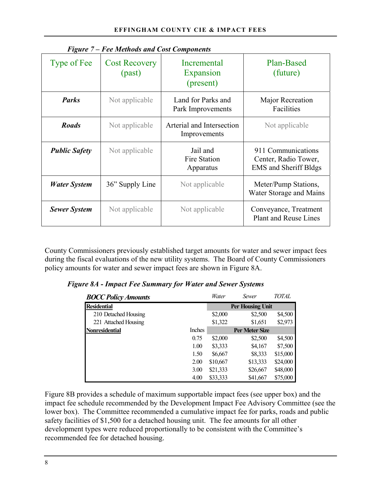| $\bf{r}$ igure $\bf{r}$ – $\bf{r}$ ee methods and Cost Components |                                |                                              |                                                                            |  |  |  |  |  |
|-------------------------------------------------------------------|--------------------------------|----------------------------------------------|----------------------------------------------------------------------------|--|--|--|--|--|
| Type of Fee                                                       | <b>Cost Recovery</b><br>(past) | <b>Incremental</b><br>Expansion<br>(present) | Plan-Based<br>(future)                                                     |  |  |  |  |  |
| <b>Parks</b>                                                      | Not applicable                 | Land for Parks and<br>Park Improvements      | Major Recreation<br>Facilities                                             |  |  |  |  |  |
| <b>Roads</b>                                                      | Not applicable                 | Arterial and Intersection<br>Improvements    | Not applicable                                                             |  |  |  |  |  |
| <b>Public Safety</b>                                              | Not applicable                 | Jail and<br>Fire Station<br>Apparatus        | 911 Communications<br>Center, Radio Tower,<br><b>EMS</b> and Sheriff Bldgs |  |  |  |  |  |
| <b>Water System</b>                                               | 36" Supply Line                | Not applicable                               | Meter/Pump Stations,<br>Water Storage and Mains                            |  |  |  |  |  |
| <b>Sewer System</b>                                               | Not applicable                 | Not applicable                               | Conveyance, Treatment<br>Plant and Reuse Lines                             |  |  |  |  |  |

*Figure 7 – Fee Methods and Cost Components* 

County Commissioners previously established target amounts for water and sewer impact fees during the fiscal evaluations of the new utility systems. The Board of County Commissioners policy amounts for water and sewer impact fees are shown in Figure 8A.

| <b>BOCC Policy Amounts</b> |        | Water    | Sewer                   | TOTAL    |
|----------------------------|--------|----------|-------------------------|----------|
| <b>Residential</b>         |        |          | <b>Per Housing Unit</b> |          |
| 210 Detached Housing       |        | \$2,000  | \$2,500                 | \$4,500  |
| 221 Attached Housing       |        | \$1,322  | \$1,651                 | \$2,973  |
| <b>Nonresidential</b>      | Inches |          | <b>Per Meter Size</b>   |          |
|                            | 0.75   | \$2,000  | \$2,500                 | \$4,500  |
|                            | 1.00   | \$3,333  | \$4,167                 | \$7,500  |
|                            | 1.50   | \$6,667  | \$8,333                 | \$15,000 |
|                            | 2.00   | \$10,667 | \$13,333                | \$24,000 |
|                            | 3.00   | \$21,333 | \$26,667                | \$48,000 |
|                            | 4.00   | \$33,333 | \$41,667                | \$75,000 |

*Figure 8A - Impact Fee Summary for Water and Sewer Systems* 

Figure 8B provides a schedule of maximum supportable impact fees (see upper box) and the impact fee schedule recommended by the Development Impact Fee Advisory Committee (see the lower box). The Committee recommended a cumulative impact fee for parks, roads and public safety facilities of \$1,500 for a detached housing unit. The fee amounts for all other development types were reduced proportionally to be consistent with the Committee's recommended fee for detached housing.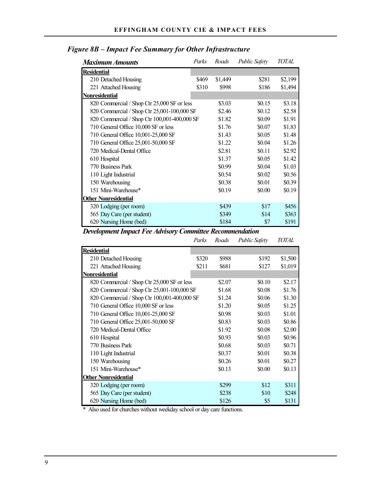| <b>Maximum Amounts</b>                       | Parks | Roads   | <b>Public Safety</b> | <b>TOTAL</b> |
|----------------------------------------------|-------|---------|----------------------|--------------|
| <b>Residential</b>                           |       |         |                      |              |
| 210 Detached Housing                         | \$469 | \$1,449 | \$281                | \$2,199      |
| 221 Attached Housing                         | \$310 | \$998   | \$186                | \$1,494      |
| <u>Nonresidential</u>                        |       |         |                      |              |
| 820 Commercial / Shop Ctr 25,000 SF or less  |       | \$3.03  | \$0.15               | \$3.18       |
| 820 Commercial / Shop Ctr 25,001-100,000 SF  |       | \$2.46  | \$0.12               | \$2.58       |
| 820 Commercial / Shop Ctr 100,001-400,000 SF |       | \$1.82  | \$0.09               | \$1.91       |
| 710 General Office 10,000 SF or less         |       | \$1.76  | \$0.07               | \$1.83       |
| 710 General Office 10,001-25,000 SF          |       | \$1.43  | \$0.05               | \$1.48       |
| 710 General Office 25,001-50,000 SF          |       | \$1.22  | \$0.04               | \$1.26       |
| 720 Medical-Dental Office                    |       | \$2.81  | \$0.11               | \$2.92       |
| 610 Hospital                                 |       | \$1.37  | \$0.05               | \$1.42       |
| 770 Business Park                            |       | \$0.99  | \$0.04               | \$1.03       |
| 110 Light Industrial                         |       | \$0.54  | \$0.02               | \$0.56       |
| 150 Warehousing                              |       | \$0.38  | \$0.01               | \$0.39       |
| 151 Mini-Warehouse*                          |       | \$0.19  | \$0.00               | \$0.19       |
| <b>Other Nonresidential</b>                  |       |         |                      |              |
| 320 Lodging (per room)                       |       | \$439   | \$17                 | \$456        |
| 565 Day Care (per student)                   |       | \$349   | \$14                 | \$363        |
| 620 Nursing Home (bed)                       |       | \$184   | \$7                  | \$191        |

# *Figure 8B – Impact Fee Summary for Other Infrastructure*

# *Development Impact Fee Advisory Committee Recommendation*

|                                              | Parks | Roads  | <b>Public Safety</b> | TOTAL   |
|----------------------------------------------|-------|--------|----------------------|---------|
| <b>Residential</b>                           |       |        |                      |         |
| 210 Detached Housing                         | \$320 | \$988  | \$192                | \$1,500 |
| 221 Attached Housing                         | \$211 | \$681  | \$127                | \$1,019 |
| <b>Nonresidential</b>                        |       |        |                      |         |
| 820 Commercial / Shop Ctr 25,000 SF or less  |       | \$2.07 | \$0.10               | \$2.17  |
| 820 Commercial / Shop Ctr 25,001-100,000 SF  |       | \$1.68 | \$0.08               | \$1.76  |
| 820 Commercial / Shop Ctr 100,001-400,000 SF |       | \$1.24 | \$0.06               | \$1.30  |
| 710 General Office 10,000 SF or less         |       | \$1.20 | \$0.05               | \$1.25  |
| 710 General Office 10,001-25,000 SF          |       | \$0.98 | \$0.03               | \$1.01  |
| 710 General Office 25,001-50,000 SF          |       | \$0.83 | \$0.03               | \$0.86  |
| 720 Medical-Dental Office                    |       | \$1.92 | \$0.08               | \$2.00  |
| 610 Hospital                                 |       | \$0.93 | \$0.03               | \$0.96  |
| 770 Business Park                            |       | \$0.68 | \$0.03               | \$0.71  |
| 110 Light Industrial                         |       | \$0.37 | \$0.01               | \$0.38  |
| 150 Warehousing                              |       | \$0.26 | \$0.01               | \$0.27  |
| 151 Mini-Warehouse*                          |       | \$0.13 | \$0.00               | \$0.13  |
| <b>Other Nonresidential</b>                  |       |        |                      |         |
| 320 Lodging (per room)                       |       | \$299  | \$12                 | \$311   |
| 565 Day Care (per student)                   |       | \$238  | \$10                 | \$248   |
| 620 Nursing Home (bed)                       |       | \$126  | \$5                  | \$131   |

\* Also used for churches without weekday school or day care functions.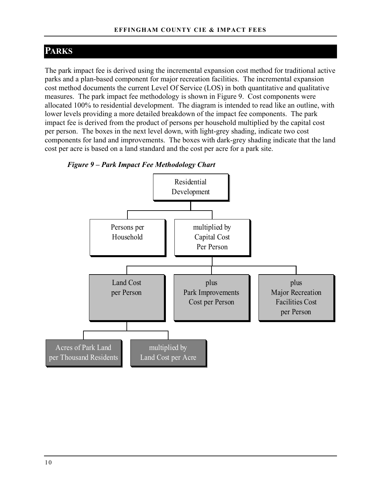# **PARKS**

The park impact fee is derived using the incremental expansion cost method for traditional active parks and a plan-based component for major recreation facilities. The incremental expansion cost method documents the current Level Of Service (LOS) in both quantitative and qualitative measures. The park impact fee methodology is shown in Figure 9. Cost components were allocated 100% to residential development. The diagram is intended to read like an outline, with lower levels providing a more detailed breakdown of the impact fee components. The park impact fee is derived from the product of persons per household multiplied by the capital cost per person. The boxes in the next level down, with light-grey shading, indicate two cost components for land and improvements. The boxes with dark-grey shading indicate that the land cost per acre is based on a land standard and the cost per acre for a park site.



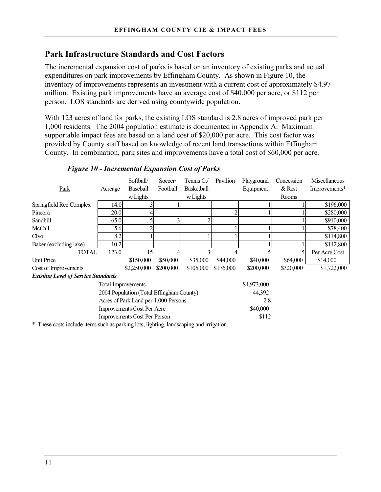# **Park Infrastructure Standards and Cost Factors**

The incremental expansion cost of parks is based on an inventory of existing parks and actual expenditures on park improvements by Effingham County. As shown in Figure 10, the inventory of improvements represents an investment with a current cost of approximately \$4.97 million. Existing park improvements have an average cost of \$40,000 per acre, or \$112 per person. LOS standards are derived using countywide population.

With 123 acres of land for parks, the existing LOS standard is 2.8 acres of improved park per 1,000 residents. The 2004 population estimate is documented in Appendix A. Maximum supportable impact fees are based on a land cost of \$20,000 per acre. This cost factor was provided by County staff based on knowledge of recent land transactions within Effingham County. In combination, park sites and improvements have a total cost of \$60,000 per acre.

|                                            |                           | Softball/                         | Soccer/   | Tennis Ct/ | Pavilion  | Playground  | Concession | Miscellaneous |
|--------------------------------------------|---------------------------|-----------------------------------|-----------|------------|-----------|-------------|------------|---------------|
| Park                                       | Acreage                   | <b>Baseball</b>                   | Football  | Basketball |           | Equipment   | $&$ Rest   | Improvements* |
|                                            |                           | w Lights                          |           | w Lights   |           |             | Rooms      |               |
| Springfield Rec Complex                    | 14.0                      |                                   |           |            |           |             |            | \$196,000     |
| Pineora                                    | 20.0                      |                                   |           |            |           |             |            | \$280,000     |
| Sandhill                                   | 65.0                      |                                   | 3         |            |           |             |            | \$910,000     |
| McCall                                     | 5.6                       |                                   |           |            |           |             |            | \$78,400      |
| Clyo                                       | 8.2                       |                                   |           |            |           |             |            | \$114,800     |
| Baker (excluding lake)                     | 10.2                      |                                   |           |            |           |             |            | \$142,800     |
| TOTAL                                      | 123.0                     | 15                                | 4         | 3          | 4         |             |            | Per Acre Cost |
| Unit Price                                 |                           | \$150,000                         | \$50,000  | \$35,000   | \$44,000  | \$40,000    | \$64,000   | \$14,000      |
| Cost of Improvements                       |                           | \$2,250,000                       | \$200,000 | \$105,000  | \$176,000 | \$200,000   | \$320,000  | \$1,722,000   |
| <b>Existing Level of Service Standards</b> |                           |                                   |           |            |           |             |            |               |
|                                            | <b>Total Improvements</b> |                                   |           |            |           | \$4,973,000 |            |               |
| 2004 Population (Total Effingham County)   |                           |                                   |           |            |           | 44,392      |            |               |
| Acres of Park Land per 1,000 Persons       |                           |                                   |           |            |           | 2.8         |            |               |
|                                            |                           | <b>Improvements Cost Per Acre</b> |           |            |           | \$40,000    |            |               |
| <b>Improvements Cost Per Person</b>        |                           |                                   |           |            |           | \$112       |            |               |

### *Figure 10 - Incremental Expansion Cost of Parks*

\* These costs include items such as parking lots, lighting, landscaping and irrigation.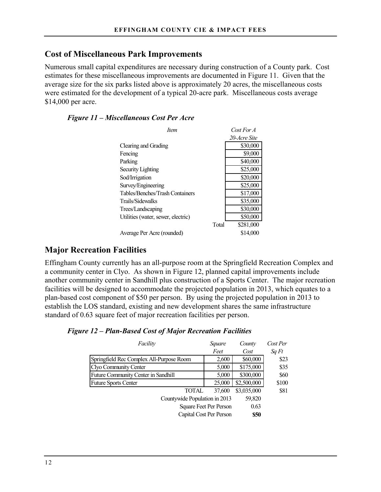# **Cost of Miscellaneous Park Improvements**

Numerous small capital expenditures are necessary during construction of a County park. Cost estimates for these miscellaneous improvements are documented in Figure 11. Given that the average size for the six parks listed above is approximately 20 acres, the miscellaneous costs were estimated for the development of a typical 20-acre park. Miscellaneous costs average \$14,000 per acre.

### *Figure 11 – Miscellaneous Cost Per Acre*

| <i>Item</i>                        | $Cost$ For $A$     |
|------------------------------------|--------------------|
|                                    | 20-Acre Site       |
| Clearing and Grading               | \$30,000           |
| Fencing                            | \$9,000            |
| Parking                            | \$40,000           |
| Security Lighting                  | \$25,000           |
| Sod/Irrigation                     | \$20,000           |
| Survey/Engineering                 | \$25,000           |
| Tables/Benches/Trash Containers    | \$17,000           |
| Trails/Sidewalks                   | \$35,000           |
| Trees/Landscaping                  | \$30,000           |
| Utilities (water, sewer, electric) | \$50,000           |
|                                    | \$281,000<br>Total |
| Average Per Acre (rounded)         | \$14,000           |

# **Major Recreation Facilities**

Effingham County currently has an all-purpose room at the Springfield Recreation Complex and a community center in Clyo. As shown in Figure 12, planned capital improvements include another community center in Sandhill plus construction of a Sports Center. The major recreation facilities will be designed to accommodate the projected population in 2013, which equates to a plan-based cost component of \$50 per person. By using the projected population in 2013 to establish the LOS standard, existing and new development shares the same infrastructure standard of 0.63 square feet of major recreation facilities per person.

| Facility                                 | Square                  | County      | Cost Per |
|------------------------------------------|-------------------------|-------------|----------|
|                                          | Feet                    | Cost        | Sq Ft    |
| Springfield Rec Complex All-Purpose Room | 2,600                   | \$60,000    | \$23     |
| Clyo Community Center                    | 5,000                   | \$175,000   | \$35     |
| Future Community Center in Sandhill      | 5,000                   | \$300,000   | \$60     |
| <b>Future Sports Center</b>              | 25,000                  | \$2,500,000 | \$100    |
| <b>TOTAL</b>                             | 37,600                  | \$3,035,000 | \$81     |
| Countywide Population in 2013            | 59,820                  |             |          |
| Square Feet Per Person                   | 0.63                    |             |          |
|                                          | Capital Cost Per Person | <b>\$50</b> |          |

### *Figure 12 – Plan-Based Cost of Major Recreation Facilities*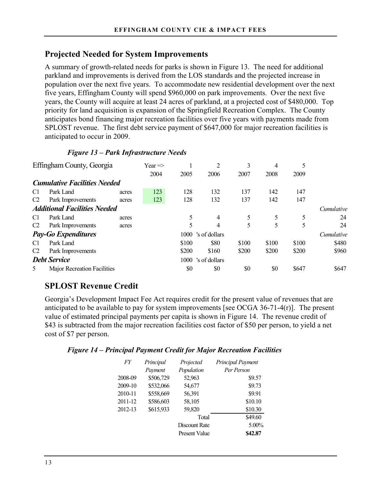# **Projected Needed for System Improvements**

A summary of growth-related needs for parks is shown in Figure 13. The need for additional parkland and improvements is derived from the LOS standards and the projected increase in population over the next five years. To accommodate new residential development over the next five years, Effingham County will spend \$960,000 on park improvements. Over the next five years, the County will acquire at least 24 acres of parkland, at a projected cost of \$480,000. Top priority for land acquisition is expansion of the Springfield Recreation Complex. The County anticipates bond financing major recreation facilities over five years with payments made from SPLOST revenue. The first debt service payment of \$647,000 for major recreation facilities is anticipated to occur in 2009.

### *Figure 13 – Park Infrastructure Needs*

|                | Effingham County, Georgia           |       | Year $\Rightarrow$ |       | 2             | 3     | 4     | 5     |            |
|----------------|-------------------------------------|-------|--------------------|-------|---------------|-------|-------|-------|------------|
|                |                                     |       | 2004               | 2005  | 2006          | 2007  | 2008  | 2009  |            |
|                | <b>Cumulative Facilities Needed</b> |       |                    |       |               |       |       |       |            |
| C <sub>1</sub> | Park Land                           | acres | 123                | 128   | 132           | 137   | 142   | 147   |            |
| C <sub>2</sub> | Park Improvements                   | acres | 123                | 128   | 132           | 137   | 142   | 147   |            |
|                | <b>Additional Facilities Needed</b> |       |                    |       |               |       |       |       | Cumulative |
| C1             | Park Land                           | acres |                    |       | 4             | 5     | 5     | 5     | 24         |
| C <sub>2</sub> | Park Improvements                   | acres |                    | 5     | 4             | 5     | 5     | 5     | 24         |
|                | <b>Pay-Go Expenditures</b>          |       |                    | 1000  | 's of dollars |       |       |       | Cumulative |
| C1             | Park Land                           |       |                    | \$100 | \$80          | \$100 | \$100 | \$100 | \$480      |
| C <sub>2</sub> | Park Improvements                   |       |                    | \$200 | \$160         | \$200 | \$200 | \$200 | \$960      |
|                | <b>Debt Service</b>                 |       |                    | 1000  | 's of dollars |       |       |       |            |
| 5              | <b>Major Recreation Facilities</b>  |       |                    | \$0   | \$0           | \$0   | \$0   | \$647 | \$647      |

# **SPLOST Revenue Credit**

Georgia's Development Impact Fee Act requires credit for the present value of revenues that are anticipated to be available to pay for system improvements [see OCGA 36-71-4(r)]. The present value of estimated principal payments per capita is shown in Figure 14. The revenue credit of \$43 is subtracted from the major recreation facilities cost factor of \$50 per person, to yield a net cost of \$7 per person.

### *Figure 14 – Principal Payment Credit for Major Recreation Facilities*

| FY      | Principal | Projected            | Principal Payment |
|---------|-----------|----------------------|-------------------|
|         | Payment   | Population           | Per Person        |
| 2008-09 | \$506,729 | 52,963               | \$9.57            |
| 2009-10 | \$532,066 | 54,677               | \$9.73            |
| 2010-11 | \$558,669 | 56,391               | \$9.91            |
| 2011-12 | \$586,603 | 58,105               | \$10.10           |
| 2012-13 | \$615,933 | 59,820               | \$10.30           |
|         |           | Total                | \$49.60           |
|         |           | Discount Rate        | $5.00\%$          |
|         |           | <b>Present Value</b> | \$42.87           |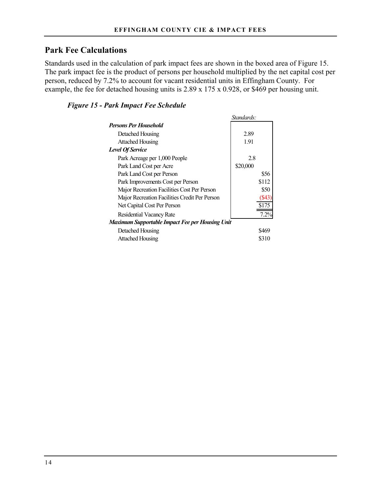# **Park Fee Calculations**

Standards used in the calculation of park impact fees are shown in the boxed area of Figure 15. The park impact fee is the product of persons per household multiplied by the net capital cost per person, reduced by 7.2% to account for vacant residential units in Effingham County. For example, the fee for detached housing units is 2.89 x 175 x 0.928, or \$469 per housing unit.

*Standards:*

### *Figure 15 - Park Impact Fee Schedule*

|                                                 | stanaaras: |
|-------------------------------------------------|------------|
| <b>Persons Per Household</b>                    |            |
| Detached Housing                                | 2.89       |
| <b>Attached Housing</b>                         | 1.91       |
| <b>Level Of Service</b>                         |            |
| Park Acreage per 1,000 People                   | 28         |
| Park Land Cost per Acre                         | \$20,000   |
| Park Land Cost per Person                       | \$56       |
| Park Improvements Cost per Person               | \$112      |
| Major Recreation Facilities Cost Per Person     | \$50       |
| Major Recreation Facilities Credit Per Person   |            |
| Net Capital Cost Per Person                     | \$175      |
| Residential Vacancy Rate                        | 7.2%       |
| Maximum Supportable Impact Fee per Housing Unit |            |
| Detached Housing                                | \$469      |
| <b>Attached Housing</b>                         | \$310      |
|                                                 |            |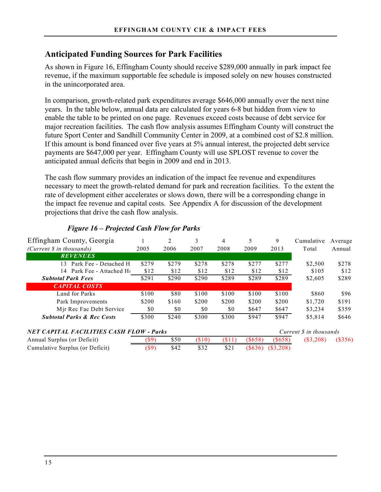### **Anticipated Funding Sources for Park Facilities**

As shown in Figure 16, Effingham County should receive \$289,000 annually in park impact fee revenue, if the maximum supportable fee schedule is imposed solely on new houses constructed in the unincorporated area.

In comparison, growth-related park expenditures average \$646,000 annually over the next nine years. In the table below, annual data are calculated for years 6-8 but hidden from view to enable the table to be printed on one page. Revenues exceed costs because of debt service for major recreation facilities. The cash flow analysis assumes Effingham County will construct the future Sport Center and Sandhill Community Center in 2009, at a combined cost of \$2.8 million. If this amount is bond financed over five years at 5% annual interest, the projected debt service payments are \$647,000 per year. Effingham County will use SPLOST revenue to cover the anticipated annual deficits that begin in 2009 and end in 2013.

The cash flow summary provides an indication of the impact fee revenue and expenditures necessary to meet the growth-related demand for park and recreation facilities. To the extent the rate of development either accelerates or slows down, there will be a corresponding change in the impact fee revenue and capital costs. See Appendix A for discussion of the development projections that drive the cash flow analysis.

| Effingham County, Georgia                       |       |       | 3      | 4       |           | 9      | Cumulative             | Average |
|-------------------------------------------------|-------|-------|--------|---------|-----------|--------|------------------------|---------|
| (Current $\hat{s}$ in thousands)                | 2005  | 2006  | 2007   | 2008    | 2009      | 2013   | Total                  | Annual  |
| <b>REVENUES</b>                                 |       |       |        |         |           |        |                        |         |
| Park Fee - Detached H<br>13                     | \$279 | \$279 | \$278  | \$278   | \$277     | \$277  | \$2,500                | \$278   |
| Park Fee - Attached Hs<br>14                    | \$12  | \$12  | \$12   | \$12    | \$12      | \$12   | \$105                  | \$12    |
| <b>Subtotal Park Fees</b>                       | \$291 | \$290 | \$290  | \$289   | \$289     | \$289  | \$2,605                | \$289   |
| <b>CAPITAL COSTS</b>                            |       |       |        |         |           |        |                        |         |
| Land for Parks                                  | \$100 | \$80  | \$100  | \$100   | \$100     | \$100  | \$860                  | \$96    |
| Park Improvements                               | \$200 | \$160 | \$200  | \$200   | \$200     | \$200  | \$1,720                | \$191   |
| Mir Rec Fac Debt Service                        | \$0   | \$0   | \$0    | \$0     | \$647     | \$647  | \$3,234                | \$359   |
| <b>Subtotal Parks &amp; Rec Costs</b>           | \$300 | \$240 | \$300  | \$300   | \$947     | \$947  | \$5,814                | \$646   |
| <b>NET CAPITAL FACILITIES CASH FLOW - Parks</b> |       |       |        |         |           |        | Current S in thousands |         |
| Annual Surplus (or Deficit)                     | (\$9  | \$50  | (\$10) | ( \$11) | $(\$658)$ | (S658) | (S3,208)               | (\$356) |

Cumulative Surplus (or Deficit) (\$9) \$42 \$32 \$21 (\$636) (\$3,208)

### *Figure 16 – Projected Cash Flow for Parks*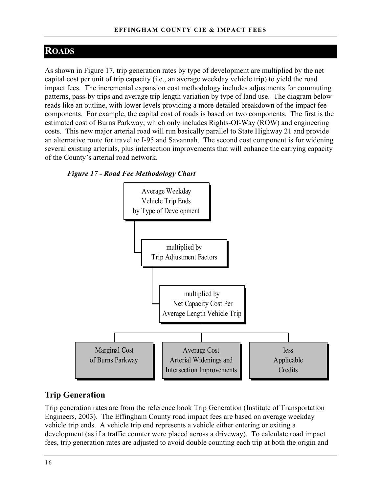# **ROADS**

As shown in Figure 17, trip generation rates by type of development are multiplied by the net capital cost per unit of trip capacity (i.e., an average weekday vehicle trip) to yield the road impact fees. The incremental expansion cost methodology includes adjustments for commuting patterns, pass-by trips and average trip length variation by type of land use. The diagram below reads like an outline, with lower levels providing a more detailed breakdown of the impact fee components. For example, the capital cost of roads is based on two components. The first is the estimated cost of Burns Parkway, which only includes Rights-Of-Way (ROW) and engineering costs. This new major arterial road will run basically parallel to State Highway 21 and provide an alternative route for travel to I-95 and Savannah. The second cost component is for widening several existing arterials, plus intersection improvements that will enhance the carrying capacity of the County's arterial road network.





### **Trip Generation**

Trip generation rates are from the reference book Trip Generation (Institute of Transportation Engineers, 2003). The Effingham County road impact fees are based on average weekday vehicle trip ends. A vehicle trip end represents a vehicle either entering or exiting a development (as if a traffic counter were placed across a driveway). To calculate road impact fees, trip generation rates are adjusted to avoid double counting each trip at both the origin and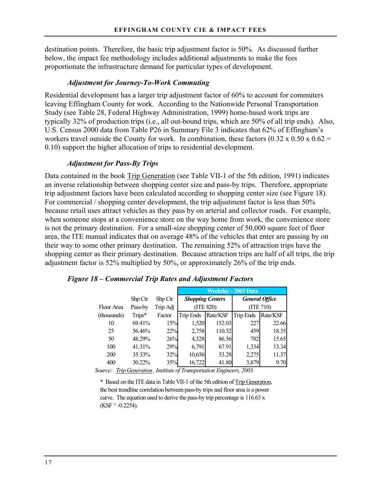destination points. Therefore, the basic trip adjustment factor is 50%. As discussed further below, the impact fee methodology includes additional adjustments to make the fees proportionate the infrastructure demand for particular types of development.

#### *Adjustment for Journey-To-Work Commuting*

Residential development has a larger trip adjustment factor of 60% to account for commuters leaving Effingham County for work. According to the Nationwide Personal Transportation Study (see Table 28, Federal Highway Administration, 1999) home-based work trips are typically 32% of production trips (i.e., all out-bound trips, which are 50% of all trip ends). Also, U.S. Census 2000 data from Table P26 in Summary File 3 indicates that 62% of Effingham's workers travel outside the County for work. In combination, these factors  $(0.32 \times 0.50 \times 0.62 =$ 0.10) support the higher allocation of trips to residential development.

#### *Adjustment for Pass-By Trips*

Data contained in the book **Trip Generation** (see Table VII-1 of the 5th edition, 1991) indicates an inverse relationship between shopping center size and pass-by trips. Therefore, appropriate trip adjustment factors have been calculated according to shopping center size (see Figure 18). For commercial / shopping center development, the trip adjustment factor is less than 50% because retail uses attract vehicles as they pass by on arterial and collector roads. For example, when someone stops at a convenience store on the way home from work, the convenience store is not the primary destination. For a small-size shopping center of 50,000 square feet of floor area, the ITE manual indicates that on average 48% of the vehicles that enter are passing by on their way to some other primary destination. The remaining 52% of attraction trips have the shopping center as their primary destination. Because attraction trips are half of all trips, the trip adjustment factor is 52% multiplied by 50%, or approximately 26% of the trip ends.

|             |         |          | Weekday - 2003 Data     |          |                       |          |  |
|-------------|---------|----------|-------------------------|----------|-----------------------|----------|--|
|             | Shp Ctr | Shp Ctr  | <b>Shopping Centers</b> |          | <b>General Office</b> |          |  |
| Floor Area  | Pass-by | Trip Adj | (TTE 820)<br>(TTE 710)  |          |                       |          |  |
| (thousands) | Trips*  | Factor   | <b>Trip Ends</b>        | Rate/KSF | <b>Trip Ends</b>      | Rate/KSF |  |
| 10          | 69.41%  | 15%      | 1,520                   | 152.03   | 227                   | 22.66    |  |
| 25          | 56.46%  | 22%      | 2,758                   | 110.32   | 459                   | 18.35    |  |
| 50          | 48.29%  | 26%      | 4,328                   | 86.56    | 782                   | 15.65    |  |
| 100         | 41.31%  | 29%      | 6,791                   | 67.91    | 1,334                 | 13.34    |  |
| 200         | 35.33%  | 32%      | 10,656                  | 53.28    | 2,275                 | 11.37    |  |
| 400         | 30.22%  | 35%      | 16,722                  | 41.80    | 3,879                 | 9.70     |  |

*Figure 18 – Commercial Trip Rates and Adjustment Factors* 

*Source: Trip Generation, Institute of Transportation Engineers, 2003.*

\* Based on the ITE data in Table VII-1 of the 5th edition of Trip Generation, the best trendline correlation between pass-by trips and floor area is a power curve. The equation used to derive the pass-by trip percentage is  $116.63 \text{ x}$  $(KSF^{\wedge} -0.2254)$ .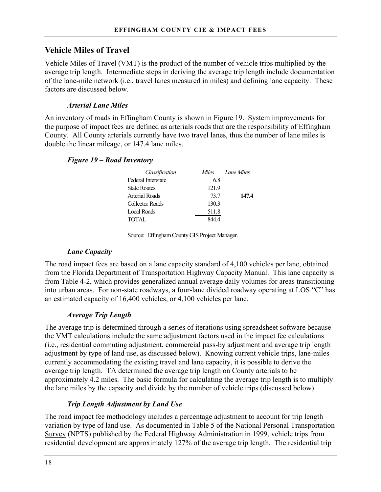### **Vehicle Miles of Travel**

Vehicle Miles of Travel (VMT) is the product of the number of vehicle trips multiplied by the average trip length. Intermediate steps in deriving the average trip length include documentation of the lane-mile network (i.e., travel lanes measured in miles) and defining lane capacity. These factors are discussed below.

### *Arterial Lane Miles*

An inventory of roads in Effingham County is shown in Figure 19. System improvements for the purpose of impact fees are defined as arterials roads that are the responsibility of Effingham County. All County arterials currently have two travel lanes, thus the number of lane miles is double the linear mileage, or 147.4 lane miles.

### *Figure 19 – Road Inventory*

| Classification            | Miles | Lane Miles |
|---------------------------|-------|------------|
| <b>Federal Interstate</b> | 68    |            |
| <b>State Routes</b>       | 121.9 |            |
| Arterial Roads            | 73.7  | 147.4      |
| Collector Roads           | 130.3 |            |
| Local Roads               | 511.8 |            |
| <b>TOTAL</b>              |       |            |

Source: Effingham County GIS Project Manager.

### *Lane Capacity*

The road impact fees are based on a lane capacity standard of 4,100 vehicles per lane, obtained from the Florida Department of Transportation Highway Capacity Manual. This lane capacity is from Table 4-2, which provides generalized annual average daily volumes for areas transitioning into urban areas. For non-state roadways, a four-lane divided roadway operating at LOS "C" has an estimated capacity of 16,400 vehicles, or 4,100 vehicles per lane.

### *Average Trip Length*

The average trip is determined through a series of iterations using spreadsheet software because the VMT calculations include the same adjustment factors used in the impact fee calculations (i.e., residential commuting adjustment, commercial pass-by adjustment and average trip length adjustment by type of land use, as discussed below). Knowing current vehicle trips, lane-miles currently accommodating the existing travel and lane capacity, it is possible to derive the average trip length. TA determined the average trip length on County arterials to be approximately 4.2 miles. The basic formula for calculating the average trip length is to multiply the lane miles by the capacity and divide by the number of vehicle trips (discussed below).

### *Trip Length Adjustment by Land Use*

The road impact fee methodology includes a percentage adjustment to account for trip length variation by type of land use. As documented in Table 5 of the National Personal Transportation Survey (NPTS) published by the Federal Highway Administration in 1999, vehicle trips from residential development are approximately 127% of the average trip length. The residential trip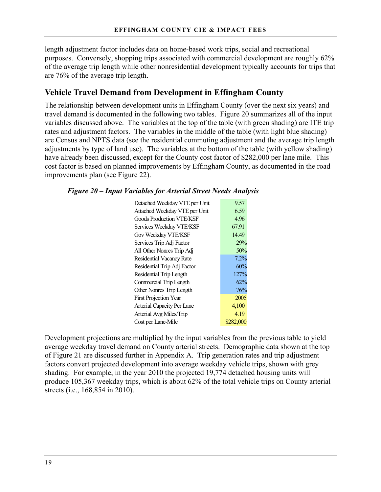length adjustment factor includes data on home-based work trips, social and recreational purposes. Conversely, shopping trips associated with commercial development are roughly 62% of the average trip length while other nonresidential development typically accounts for trips that are 76% of the average trip length.

### **Vehicle Travel Demand from Development in Effingham County**

The relationship between development units in Effingham County (over the next six years) and travel demand is documented in the following two tables. Figure 20 summarizes all of the input variables discussed above. The variables at the top of the table (with green shading) are ITE trip rates and adjustment factors. The variables in the middle of the table (with light blue shading) are Census and NPTS data (see the residential commuting adjustment and the average trip length adjustments by type of land use). The variables at the bottom of the table (with yellow shading) have already been discussed, except for the County cost factor of \$282,000 per lane mile. This cost factor is based on planned improvements by Effingham County, as documented in the road improvements plan (see Figure 22).

| Detached Weekday VTE per Unit   | 9.57      |
|---------------------------------|-----------|
| Attached Weekday VTE per Unit   | 6.59      |
| <b>Goods Production VTF/KSF</b> | 4.96      |
| Services Weekday VTE/KSF        | 67.91     |
| Gov Weekday VTE/KSF             | 14.49     |
| Services Trip Adj Factor        | 29%       |
| All Other Nonres Trip Adj       | 50%       |
| Residential Vacancy Rate        | 7.2%      |
| Residential Trip Adj Factor     | 60%       |
| Residential Trip Length         | 127%      |
| Commercial Trip Length          | 62%       |
| <b>Other Nonres Trip Length</b> | 76%       |
| <b>First Projection Year</b>    | 2005      |
| Arterial Capacity Per Lane      | 4,100     |
| Arterial Avg Miles/Trip         | 4.19      |
| Cost per Lane-Mile              | \$282,000 |
|                                 |           |

Development projections are multiplied by the input variables from the previous table to yield average weekday travel demand on County arterial streets. Demographic data shown at the top of Figure 21 are discussed further in Appendix A. Trip generation rates and trip adjustment factors convert projected development into average weekday vehicle trips, shown with grey shading. For example, in the year 2010 the projected 19,774 detached housing units will produce 105,367 weekday trips, which is about 62% of the total vehicle trips on County arterial streets (i.e., 168,854 in 2010).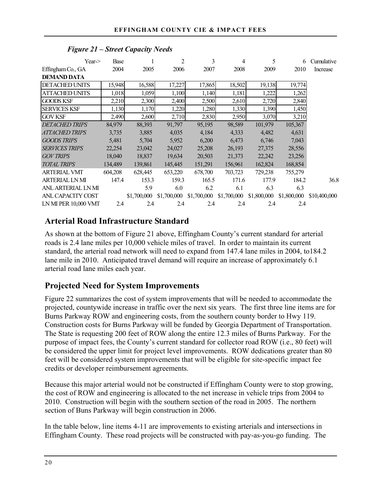| Year                  | Base    |             | $\overline{2}$ | 3           | 4           | 5           | 6           | Cumulative   |
|-----------------------|---------|-------------|----------------|-------------|-------------|-------------|-------------|--------------|
| Effingham Co., GA     | 2004    | 2005        | 2006           | 2007        | 2008        | 2009        | 2010        | Increase     |
| <b>DEMAND DATA</b>    |         |             |                |             |             |             |             |              |
| <b>DETACHED UNITS</b> | 15,948  | 16,588      | 17,227         | 17,865      | 18,502      | 19,138      | 19,774      |              |
| <b>ATTACHED UNITS</b> | 1,018   | 1,059       | 1,100          | 1,140       | 1,181       | 1,222       | 1,262       |              |
| <b>GOODS KSF</b>      | 2,210   | 2,300       | 2,400          | 2,500       | 2,610       | 2,720       | 2,840       |              |
| <b>SERVICES KSF</b>   | 1,130   | 1,170       | 1,220          | 1,280       | 1,330       | 1,390       | 1,450       |              |
| <b>GOV KSF</b>        | 2,490   | 2,600       | 2,710          | 2,830       | 2,950       | 3,070       | 3,210       |              |
| <b>DETACHED TRIPS</b> | 84,979  | 88,393      | 91,797         | 95,195      | 98,589      | 101,979     | 105,367     |              |
| <b>ATTACHED TRIPS</b> | 3,735   | 3,885       | 4,035          | 4,184       | 4,333       | 4,482       | 4,631       |              |
| <b>GOODS TRIPS</b>    | 5,481   | 5,704       | 5,952          | 6,200       | 6,473       | 6,746       | 7,043       |              |
| <b>SERVICES TRIPS</b> | 22,254  | 23,042      | 24,027         | 25,208      | 26,193      | 27,375      | 28,556      |              |
| <b>GOV TRIPS</b>      | 18,040  | 18,837      | 19,634         | 20,503      | 21,373      | 22,242      | 23,256      |              |
| <b>TOTAL TRIPS</b>    | 134,489 | 139,861     | 145,445        | 151,291     | 156,961     | 162,824     | 168,854     |              |
| <b>ARTERIAL VMT</b>   | 604,208 | 628,445     | 653,220        | 678,700     | 703,723     | 729,238     | 755,279     |              |
| <b>ARTERIAL LN MI</b> | 147.4   | 153.3       | 159.3          | 165.5       | 171.6       | 177.9       | 184.2       | 36.8         |
| ANL ARTERIAL LN MI    |         | 5.9         | 6.0            | 6.2         | 6.1         | 6.3         | 6.3         |              |
| ANL CAPACITY COST     |         | \$1,700,000 | \$1,700,000    | \$1,700,000 | \$1,700,000 | \$1,800,000 | \$1,800,000 | \$10,400,000 |
| LN MI PER 10,000 VMT  | 2.4     | 2.4         | 2.4            | 2.4         | 2.4         | 2.4         | 2.4         |              |

### *Figure 21 – Street Capacity Needs*

# **Arterial Road Infrastructure Standard**

As shown at the bottom of Figure 21 above, Effingham County's current standard for arterial roads is 2.4 lane miles per 10,000 vehicle miles of travel. In order to maintain its current standard, the arterial road network will need to expand from 147.4 lane miles in 2004, to184.2 lane mile in 2010. Anticipated travel demand will require an increase of approximately 6.1 arterial road lane miles each year.

# **Projected Need for System Improvements**

Figure 22 summarizes the cost of system improvements that will be needed to accommodate the projected, countywide increase in traffic over the next six years. The first three line items are for Burns Parkway ROW and engineering costs, from the southern county border to Hwy 119. Construction costs for Burns Parkway will be funded by Georgia Department of Transportation. The State is requesting 200 feet of ROW along the entire 12.3 miles of Burns Parkway. For the purpose of impact fees, the County's current standard for collector road ROW (i.e., 80 feet) will be considered the upper limit for project level improvements. ROW dedications greater than 80 feet will be considered system improvements that will be eligible for site-specific impact fee credits or developer reimbursement agreements.

Because this major arterial would not be constructed if Effingham County were to stop growing, the cost of ROW and engineering is allocated to the net increase in vehicle trips from 2004 to 2010. Construction will begin with the southern section of the road in 2005. The northern section of Buns Parkway will begin construction in 2006.

In the table below, line items 4-11 are improvements to existing arterials and intersections in Effingham County. These road projects will be constructed with pay-as-you-go funding. The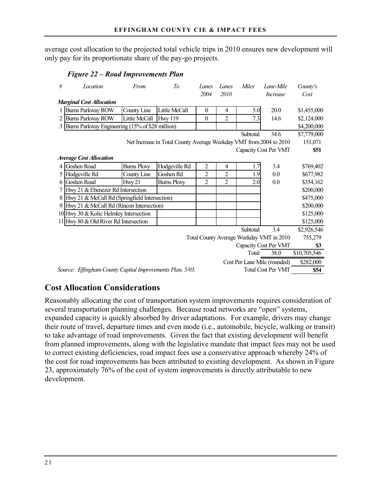average cost allocation to the projected total vehicle trips in 2010 ensures new development will only pay for its proportionate share of the pay-go projects.

*Figure 22 – Road Improvements Plan* 

| #                                                                  | Location                                                                                       | From              | To                | Lanes          | Lanes          | Miles    | Lane-Mile                                | County's    |
|--------------------------------------------------------------------|------------------------------------------------------------------------------------------------|-------------------|-------------------|----------------|----------------|----------|------------------------------------------|-------------|
|                                                                    |                                                                                                |                   |                   | 2004           | 2010           |          | Increase                                 | Cost        |
|                                                                    | <b>Marginal Cost Allocation</b>                                                                |                   |                   |                |                |          |                                          |             |
|                                                                    | Burns Parkway ROW                                                                              | County Line       | Little McCall     | $\theta$       | $\overline{4}$ | 5.0      | 20.0                                     | \$1,455,000 |
| 2                                                                  | <b>Burns Parkway ROW</b>                                                                       | Little McCall     | <b>Hwy 119</b>    | $\theta$       | $\overline{2}$ | 7.3      | 14.6                                     | \$2,124,000 |
| 3                                                                  | Burns Parkway Engineering (15% of \$28 million)                                                |                   |                   |                |                |          |                                          | \$4,200,000 |
|                                                                    |                                                                                                |                   |                   |                |                | Subtotal | 34.6                                     | \$7,779,000 |
| Net Increase in Total County Average Weekday VMT from 2004 to 2010 |                                                                                                |                   |                   |                |                |          | 151,071                                  |             |
|                                                                    |                                                                                                |                   |                   |                |                |          | Capacity Cost Per VMT                    | \$51        |
|                                                                    | <b>Average Cost Allocation</b>                                                                 |                   |                   |                |                |          |                                          |             |
| 4                                                                  | Goshen Road                                                                                    | <b>Burns Pkwy</b> | Hodgeville Rd     | $\overline{2}$ | 4              | 1.7      | 3.4                                      | \$769,402   |
| 5                                                                  | Hodgeville Rd                                                                                  | County Line       | Goshen Rd         | 2              | $\overline{2}$ | 1.9      | 0.0                                      | \$677,982   |
| 6                                                                  | Goshen Road                                                                                    | Hwy 21            | <b>Burns Pkwy</b> | $\overline{2}$ | $\overline{2}$ | 2.0      | $0.0\,$                                  | \$354,162   |
| 7                                                                  | Hwy 21 & Ebenezer Rd Intersection                                                              |                   |                   |                |                |          |                                          | \$200,000   |
| 8                                                                  | Hwy 21 & McCall Rd (Springfield Intersection)                                                  |                   |                   |                |                |          |                                          | \$475,000   |
| 9                                                                  | Hwy 21 & McCall Rd (Rincon Intersection)                                                       |                   |                   |                |                |          |                                          | \$200,000   |
|                                                                    | 10 Hwy 30 & Kolic Helmley Intersection                                                         |                   |                   |                |                |          |                                          | \$125,000   |
|                                                                    | 11 Hwy 80 & Old River Rd Intersection                                                          |                   |                   |                |                |          |                                          | \$125,000   |
|                                                                    |                                                                                                |                   |                   |                |                | Subtotal | 3.4                                      | \$2,926,546 |
|                                                                    |                                                                                                |                   |                   |                |                |          | Total County Average Weekday VMT in 2010 | 755,279     |
|                                                                    |                                                                                                |                   |                   |                |                |          | Capacity Cost Per VMT                    | \$3         |
|                                                                    | \$10,705,546<br>Total<br>38.0                                                                  |                   |                   |                |                |          |                                          |             |
|                                                                    |                                                                                                |                   |                   |                |                |          | Cost Per Lane Mile (rounded)             | \$282,000   |
|                                                                    | <b>Total Cost Per VMT</b><br>\$54<br>Source: Effingham County Capital Improvements Plan, 5/03. |                   |                   |                |                |          |                                          |             |

# **Cost Allocation Considerations**

Reasonably allocating the cost of transportation system improvements requires consideration of several transportation planning challenges. Because road networks are "open" systems, expanded capacity is quickly absorbed by driver adaptations. For example, drivers may change their route of travel, departure times and even mode (i.e., automobile, bicycle, walking or transit) to take advantage of road improvements. Given the fact that existing development will benefit from planned improvements, along with the legislative mandate that impact fees may not be used to correct existing deficiencies, road impact fees use a conservative approach whereby 24% of the cost for road improvements has been attributed to existing development. As shown in Figure 23, approximately 76% of the cost of system improvements is directly attributable to new development.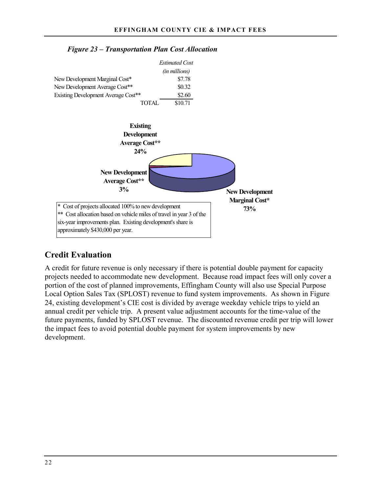

### *Figure 23 – Transportation Plan Cost Allocation*

# **Credit Evaluation**

A credit for future revenue is only necessary if there is potential double payment for capacity projects needed to accommodate new development. Because road impact fees will only cover a portion of the cost of planned improvements, Effingham County will also use Special Purpose Local Option Sales Tax (SPLOST) revenue to fund system improvements. As shown in Figure 24, existing development's CIE cost is divided by average weekday vehicle trips to yield an annual credit per vehicle trip. A present value adjustment accounts for the time-value of the future payments, funded by SPLOST revenue. The discounted revenue credit per trip will lower the impact fees to avoid potential double payment for system improvements by new development.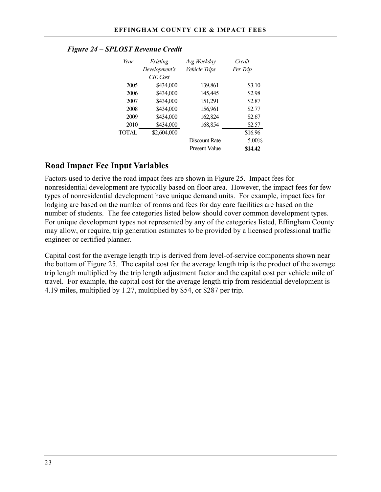| Year         | Existing      | Avg Weekday          | Credit   |  |
|--------------|---------------|----------------------|----------|--|
|              | Development's | Vehicle Trips        | Per Trip |  |
|              | $CIF$ Cost    |                      |          |  |
| 2005         | \$434,000     | 139,861              | \$3.10   |  |
| 2006         | \$434,000     | 145,445              | \$2.98   |  |
| 2007         | \$434,000     | 151,291              | \$2.87   |  |
| 2008         | \$434,000     | 156,961              | \$2.77   |  |
| 2009         | \$434,000     | 162,824              | \$2.67   |  |
| 2010         | \$434,000     | 168,854              | \$2.57   |  |
| <b>TOTAL</b> | \$2,604,000   |                      | \$16.96  |  |
|              |               | Discount Rate        | $5.00\%$ |  |
|              |               | <b>Present Value</b> | \$14.42  |  |

### *Figure 24 – SPLOST Revenue Credit*

### **Road Impact Fee Input Variables**

Factors used to derive the road impact fees are shown in Figure 25. Impact fees for nonresidential development are typically based on floor area. However, the impact fees for few types of nonresidential development have unique demand units. For example, impact fees for lodging are based on the number of rooms and fees for day care facilities are based on the number of students. The fee categories listed below should cover common development types. For unique development types not represented by any of the categories listed, Effingham County may allow, or require, trip generation estimates to be provided by a licensed professional traffic engineer or certified planner.

Capital cost for the average length trip is derived from level-of-service components shown near the bottom of Figure 25. The capital cost for the average length trip is the product of the average trip length multiplied by the trip length adjustment factor and the capital cost per vehicle mile of travel. For example, the capital cost for the average length trip from residential development is 4.19 miles, multiplied by 1.27, multiplied by \$54, or \$287 per trip.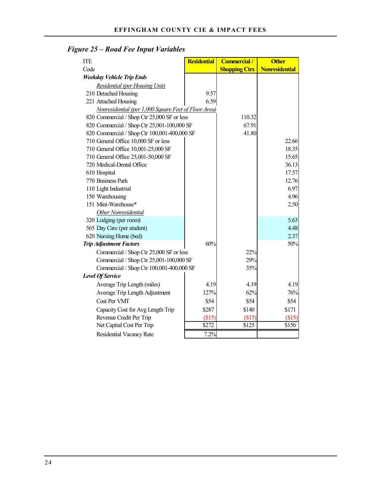| <b>ITE</b>                                           | <b>Residential</b> | <b>Commercial</b> /  | <b>Other</b>          |
|------------------------------------------------------|--------------------|----------------------|-----------------------|
| Code                                                 |                    | <b>Shopping Ctrs</b> | <b>Nonresidential</b> |
| <b>Weekday Vehicle Trip Ends</b>                     |                    |                      |                       |
| <b>Residential (per Housing Unit)</b>                |                    |                      |                       |
| 210 Detached Housing                                 | 9.57               |                      |                       |
| 221 Attached Housing                                 | 6.59               |                      |                       |
| Nonresidential (per 1,000 Square Feet of Floor Area) |                    |                      |                       |
| 820 Commercial / Shop Ctr 25,000 SF or less          |                    | 110.32               |                       |
| 820 Commercial / Shop Ctr 25,001-100,000 SF          |                    | 67.91                |                       |
| 820 Commercial / Shop Ctr 100,001-400,000 SF         |                    | 41.80                |                       |
| 710 General Office 10,000 SF or less                 |                    |                      | 22.66                 |
| 710 General Office 10,001-25,000 SF                  |                    |                      | 18.35                 |
| 710 General Office 25,001-50,000 SF                  |                    |                      | 15.65                 |
| 720 Medical-Dental Office                            |                    |                      | 36.13                 |
| 610 Hospital                                         |                    |                      | 17.57                 |
| 770 Business Park                                    |                    |                      | 12.76                 |
| 110 Light Industrial                                 |                    |                      | 6.97                  |
| 150 Warehousing                                      |                    |                      | 4.96                  |
| 151 Mini-Warehouse*                                  |                    |                      | 2.50                  |
| Other Nonresidential                                 |                    |                      |                       |
| 320 Lodging (per room)                               |                    |                      | 5.63                  |
| 565 Day Care (per student)                           |                    |                      | 4.48                  |
| 620 Nursing Home (bed)                               |                    |                      | 2.37                  |
| <b>Trip Adjustment Factors</b>                       | 60%                |                      | 50%                   |
| Commercial / Shop Ctr 25,000 SF or less              |                    | 22%                  |                       |
| Commercial / Shop Ctr 25,001-100,000 SF              |                    | 29%                  |                       |
| Commercial / Shop Ctr 100,001-400,000 SF             |                    | 35%                  |                       |
| <b>Level Of Service</b>                              |                    |                      |                       |
| Average Trip Length (miles)                          | 4.19               | 4.19                 | 4.19                  |
| Average Trip Length Adjustment                       | 127%               | 62%                  | 76%                   |
| Cost Per VMT                                         | \$54               | \$54                 | \$54                  |
| Capacity Cost for Avg Length Trip                    | \$287              | \$140                | \$171                 |
| Revenue Credit Per Trip                              | (\$15)             | \$15                 | (\$15)                |
| Net Capital Cost Per Trip                            | \$272              | \$125                | \$156                 |
| <b>Residential Vacancy Rate</b>                      | 7.2%               |                      |                       |

# *Figure 25 – Road Fee Input Variables*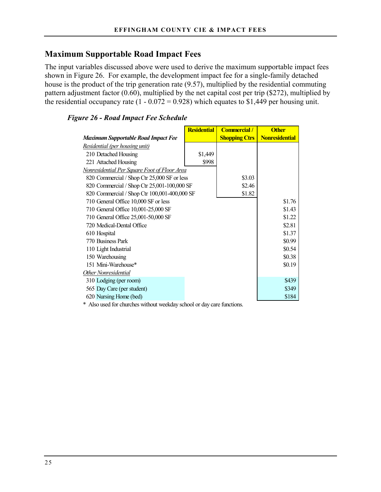# **Maximum Supportable Road Impact Fees**

The input variables discussed above were used to derive the maximum supportable impact fees shown in Figure 26. For example, the development impact fee for a single-family detached house is the product of the trip generation rate (9.57), multiplied by the residential commuting pattern adjustment factor (0.60), multiplied by the net capital cost per trip (\$272), multiplied by the residential occupancy rate  $(1 - 0.072 = 0.928)$  which equates to \$1,449 per housing unit.

### *Figure 26 - Road Impact Fee Schedule*

|                                              | <b>Residential</b> | <b>Commercial</b> /  | <b>Other</b>          |
|----------------------------------------------|--------------------|----------------------|-----------------------|
| <b>Maximum Supportable Road Impact Fee</b>   |                    | <b>Shopping Ctrs</b> | <b>Nonresidential</b> |
| Residential (per housing unit)               |                    |                      |                       |
| 210 Detached Housing                         | \$1,449            |                      |                       |
| 221 Attached Housing                         | \$998              |                      |                       |
| Nonresidential Per Square Foot of Floor Area |                    |                      |                       |
| 820 Commercial / Shop Ctr 25,000 SF or less  |                    | \$3.03               |                       |
| 820 Commercial / Shop Ctr 25,001-100,000 SF  |                    | \$2.46               |                       |
| 820 Commercial / Shop Ctr 100,001-400,000 SF |                    | \$1.82               |                       |
| 710 General Office 10,000 SF or less         |                    |                      | \$1.76                |
| 710 General Office 10,001-25,000 SF          |                    |                      | \$1.43                |
| 710 General Office 25,001-50,000 SF          |                    |                      | \$1.22                |
| 720 Medical-Dental Office                    |                    |                      | \$2.81                |
| 610 Hospital                                 |                    |                      | \$1.37                |
| 770 Business Park                            |                    |                      | \$0.99                |
| 110 Light Industrial                         |                    |                      | \$0.54                |
| 150 Warehousing                              |                    |                      | \$0.38                |
| 151 Mini-Warehouse*                          |                    |                      | \$0.19                |
| Other Nonresidential                         |                    |                      |                       |
| 310 Lodging (per room)                       |                    |                      | \$439                 |
| 565 Day Care (per student)                   |                    |                      | \$349                 |
| 620 Nursing Home (bed)                       |                    |                      | \$184                 |

\* Also used for churches without weekday school or day care functions.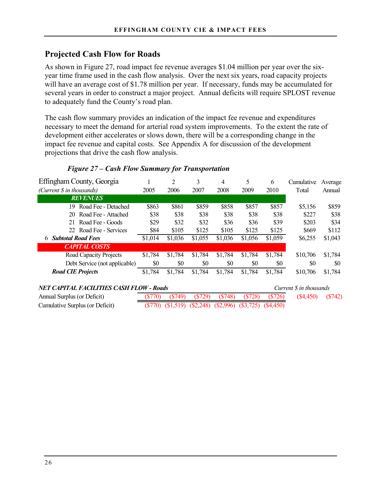# **Projected Cash Flow for Roads**

As shown in Figure 27, road impact fee revenue averages \$1.04 million per year over the sixyear time frame used in the cash flow analysis. Over the next six years, road capacity projects will have an average cost of \$1.78 million per year. If necessary, funds may be accumulated for several years in order to construct a major project. Annual deficits will require SPLOST revenue to adequately fund the County's road plan.

The cash flow summary provides an indication of the impact fee revenue and expenditures necessary to meet the demand for arterial road system improvements. To the extent the rate of development either accelerates or slows down, there will be a corresponding change in the impact fee revenue and capital costs. See Appendix A for discussion of the development projections that drive the cash flow analysis.

| Effingham County, Georgia                       |         | 2         | 3         | 4       | 5       | 6         | Cumulative             | Average |
|-------------------------------------------------|---------|-----------|-----------|---------|---------|-----------|------------------------|---------|
| (Current \$ in thousands)                       | 2005    | 2006      | 2007      | 2008    | 2009    | 2010      | Total                  | Annual  |
| <b>REVENUES</b>                                 |         |           |           |         |         |           |                        |         |
| Road Fee - Detached<br>19                       | \$863   | \$861     | \$859     | \$858   | \$857   | \$857     | \$5,156                | \$859   |
| Road Fee - Attached<br>20                       | \$38    | \$38      | \$38      | \$38    | \$38    | \$38      | \$227                  | \$38    |
| Road Fee - Goods<br>21                          | \$29    | \$32      | \$32      | \$36    | \$36    | \$39      | \$203                  | \$34    |
| Road Fee - Services<br>22                       | \$84    | \$105     | \$125     | \$105   | \$125   | \$125     | \$669                  | \$112   |
| <b>Subtotal Road Fees</b><br>6                  | \$1,014 | \$1,036   | \$1,055   | \$1,036 | \$1,056 | \$1,059   | \$6,255                | \$1,043 |
| <b>CAPITAL COSTS</b>                            |         |           |           |         |         |           |                        |         |
| Road Capacity Projects                          | \$1,784 | \$1,784   | \$1,784   | \$1,784 | \$1,784 | \$1,784   | \$10,706               | \$1,784 |
| Debt Service (not applicable)                   | \$0     | \$0       | \$0       | \$0     | \$0     | \$0       | \$0                    | \$0     |
| <b>Road CIE Projects</b>                        | \$1,784 | \$1,784   | \$1,784   | \$1,784 | \$1,784 | \$1,784   | \$10,706               | \$1,784 |
| <b>NET CAPITAL FACILITIES CASH FLOW - Roads</b> |         |           |           |         |         |           | Current S in thousands |         |
| Annual Surplus (or Deficit)                     | (S770)  | $(\$749)$ | $(\$729)$ | (S748)  | (S728)  | $(\$726)$ | (S4, 450)              | (S742)  |

### *Figure 27 – Cash Flow Summary for Transportation*

| NET CAPITAL FACILITIES CASH FLOW - Roads |        |                                                                       |  |                            |  | Current S in thousands |                    |  |
|------------------------------------------|--------|-----------------------------------------------------------------------|--|----------------------------|--|------------------------|--------------------|--|
| Annual Surplus (or Deficit)              | (S770) | (\$749)                                                               |  | $(S729)$ $(S748)$ $(S728)$ |  | (S726)                 | $(S4,450)$ $(S74)$ |  |
| Cumulative Surplus (or Deficit)          |        | $(\$770)$ $(\$1,519)$ $(\$2,248)$ $(\$2,996)$ $(\$3,725)$ $(\$4,450)$ |  |                            |  |                        |                    |  |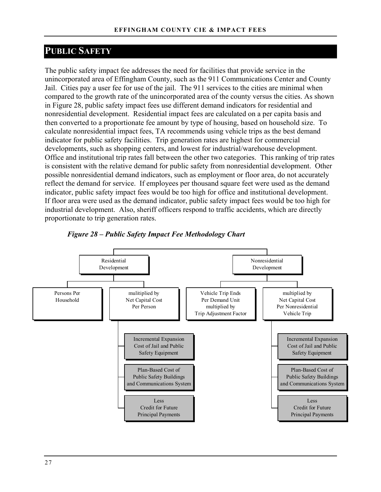# **PUBLIC SAFETY**

The public safety impact fee addresses the need for facilities that provide service in the unincorporated area of Effingham County, such as the 911 Communications Center and County Jail. Cities pay a user fee for use of the jail. The 911 services to the cities are minimal when compared to the growth rate of the unincorporated area of the county versus the cities. As shown in Figure 28, public safety impact fees use different demand indicators for residential and nonresidential development. Residential impact fees are calculated on a per capita basis and then converted to a proportionate fee amount by type of housing, based on household size. To calculate nonresidential impact fees, TA recommends using vehicle trips as the best demand indicator for public safety facilities. Trip generation rates are highest for commercial developments, such as shopping centers, and lowest for industrial/warehouse development. Office and institutional trip rates fall between the other two categories. This ranking of trip rates is consistent with the relative demand for public safety from nonresidential development. Other possible nonresidential demand indicators, such as employment or floor area, do not accurately reflect the demand for service. If employees per thousand square feet were used as the demand indicator, public safety impact fees would be too high for office and institutional development. If floor area were used as the demand indicator, public safety impact fees would be too high for industrial development. Also, sheriff officers respond to traffic accidents, which are directly proportionate to trip generation rates.



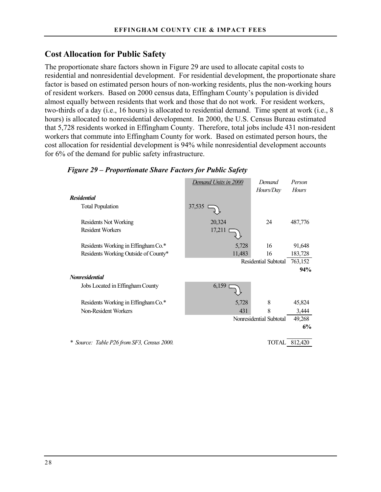# **Cost Allocation for Public Safety**

The proportionate share factors shown in Figure 29 are used to allocate capital costs to residential and nonresidential development. For residential development, the proportionate share factor is based on estimated person hours of non-working residents, plus the non-working hours of resident workers. Based on 2000 census data, Effingham County's population is divided almost equally between residents that work and those that do not work. For resident workers, two-thirds of a day (i.e., 16 hours) is allocated to residential demand. Time spent at work (i.e., 8 hours) is allocated to nonresidential development. In 2000, the U.S. Census Bureau estimated that 5,728 residents worked in Effingham County. Therefore, total jobs include 431 non-resident workers that commute into Effingham County for work. Based on estimated person hours, the cost allocation for residential development is 94% while nonresidential development accounts for 6% of the demand for public safety infrastructure.

|                                            | Demand Units in 2000 | Demand                  | Person       |
|--------------------------------------------|----------------------|-------------------------|--------------|
|                                            |                      | Hours/Day               | <b>Hours</b> |
| <b>Residential</b>                         |                      |                         |              |
| <b>Total Population</b>                    | 37,535               |                         |              |
| Residents Not Working                      | 20,324               | 24                      | 487,776      |
| <b>Resident Workers</b>                    | 17,211               |                         |              |
| Residents Working in Effingham Co.*        | 5,728                | 16                      | 91,648       |
| Residents Working Outside of County*       | 11,483               | 16                      | 183,728      |
|                                            |                      | Residential Subtotal    | 763,152      |
|                                            |                      |                         | 94%          |
| <b>Nonresidential</b>                      |                      |                         |              |
| Jobs Located in Effingham County           | 6,159                |                         |              |
| Residents Working in Effingham Co.*        | 5,728                | 8                       | 45,824       |
| Non-Resident Workers                       | 431                  | 8                       | 3,444        |
|                                            |                      | Nonresidential Subtotal | 49,268       |
|                                            |                      |                         | 6%           |
| * Source: Table P26 from SF3, Census 2000. |                      | <b>TOTAL</b>            | 812,420      |

### *Figure 29 – Proportionate Share Factors for Public Safety*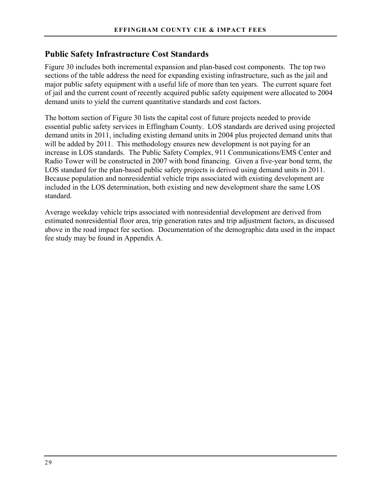# **Public Safety Infrastructure Cost Standards**

Figure 30 includes both incremental expansion and plan-based cost components. The top two sections of the table address the need for expanding existing infrastructure, such as the jail and major public safety equipment with a useful life of more than ten years. The current square feet of jail and the current count of recently acquired public safety equipment were allocated to 2004 demand units to yield the current quantitative standards and cost factors.

The bottom section of Figure 30 lists the capital cost of future projects needed to provide essential public safety services in Effingham County. LOS standards are derived using projected demand units in 2011, including existing demand units in 2004 plus projected demand units that will be added by 2011. This methodology ensures new development is not paying for an increase in LOS standards. The Public Safety Complex, 911 Communications/EMS Center and Radio Tower will be constructed in 2007 with bond financing. Given a five-year bond term, the LOS standard for the plan-based public safety projects is derived using demand units in 2011. Because population and nonresidential vehicle trips associated with existing development are included in the LOS determination, both existing and new development share the same LOS standard.

Average weekday vehicle trips associated with nonresidential development are derived from estimated nonresidential floor area, trip generation rates and trip adjustment factors, as discussed above in the road impact fee section. Documentation of the demographic data used in the impact fee study may be found in Appendix A.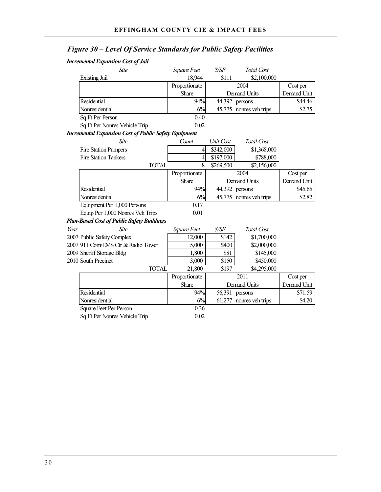# *Figure 30 – Level Of Service Standards for Public Safety Facilities*

#### *Incremental Expansion Cost of Jail*

|      | Site                                                         | Square Feet              | \$/SF     | Total Cost              |             |
|------|--------------------------------------------------------------|--------------------------|-----------|-------------------------|-------------|
|      | Existing Jail                                                | 18,944                   | \$111     | \$2,100,000             |             |
|      |                                                              | Proportionate            |           | 2004                    | Cost per    |
|      |                                                              | Share                    |           | Demand Units            | Demand Unit |
|      | <b>Residential</b>                                           | 94%                      |           | 44,392 persons          | \$44.46     |
|      | Nonresidential                                               | 6%                       |           | 45,775 nonres veh trips | \$2.75      |
|      | Sq Ft Per Person                                             | 0.40                     |           |                         |             |
|      | Sq Ft Per Nonres Vehicle Trip                                | 0.02                     |           |                         |             |
|      | <b>Incremental Expansion Cost of Public Safety Equipment</b> |                          |           |                         |             |
|      | <b>Site</b>                                                  | Count                    | Unit Cost | <b>Total Cost</b>       |             |
|      | <b>Fire Station Pumpers</b>                                  | $\overline{\mathcal{L}}$ | \$342,000 | \$1,368,000             |             |
|      | <b>Fire Station Tankers</b>                                  | $\overline{4}$           | \$197,000 | \$788,000               |             |
|      | <b>TOTAL</b>                                                 | 8                        | \$269,500 | \$2,156,000             |             |
|      |                                                              | Proportionate            |           | 2004                    | Cost per    |
|      |                                                              | Share                    |           | Demand Units            | Demand Unit |
|      | Residential                                                  | 94%                      |           | 44,392 persons          | \$45.65     |
|      | Nonresidential                                               | 6%                       |           | 45,775 nonres veh trips | \$2.82      |
|      | Equipment Per 1,000 Persons                                  | 0.17                     |           |                         |             |
|      | Equip Per 1,000 Nonres Veh Trips                             | 0.01                     |           |                         |             |
|      | <b>Plan-Based Cost of Public Safety Buildings</b>            |                          |           |                         |             |
| Year | <b>Site</b>                                                  | Square Feet              | \$/SF     | Total Cost              |             |
|      | 2007 Public Safety Complex                                   | 12,000                   | \$142     | \$1,700,000             |             |
|      | 2007 911 Com/EMS Ctr & Radio Tower                           | 5,000                    | \$400     | \$2,000,000             |             |
|      | 2009 Sheriff Storage Bldg                                    | 1,800                    | \$81      | \$145,000               |             |
|      | 2010 South Precinct                                          | 3,000                    | \$150     | \$450,000               |             |
|      | <b>TOTAL</b>                                                 | 21,800                   | \$197     | \$4,295,000             |             |
|      |                                                              | Proportionate            |           | 2011                    | Cost per    |
|      |                                                              | Share                    |           | Demand Units            | Demand Unit |
|      | <b>Residential</b>                                           | 94%                      |           | 56,391 persons          | \$71.59     |
|      | Nonresidential                                               | 6%                       | 61,277    | nonres veh trips        | \$4.20      |
|      | Square Feet Per Person                                       | 0.36                     |           |                         |             |
|      | Sq Ft Per Nonres Vehicle Trip                                | 0.02                     |           |                         |             |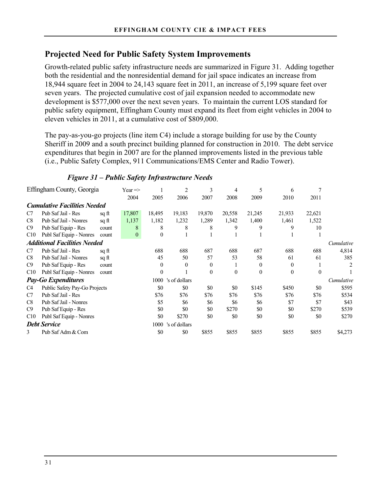# **Projected Need for Public Safety System Improvements**

Growth-related public safety infrastructure needs are summarized in Figure 31. Adding together both the residential and the nonresidential demand for jail space indicates an increase from 18,944 square feet in 2004 to 24,143 square feet in 2011, an increase of 5,199 square feet over seven years. The projected cumulative cost of jail expansion needed to accommodate new development is \$577,000 over the next seven years. To maintain the current LOS standard for public safety equipment, Effingham County must expand its fleet from eight vehicles in 2004 to eleven vehicles in 2011, at a cumulative cost of \$809,000.

The pay-as-you-go projects (line item C4) include a storage building for use by the County Sheriff in 2009 and a south precinct building planned for construction in 2010. The debt service expenditures that begin in 2007 are for the planned improvements listed in the previous table (i.e., Public Safety Complex, 911 Communications/EMS Center and Radio Tower).

|     | Effingham County, Georgia           |       | Year $\Rightarrow$ |              | 2             | 3                | 4        | 5        | 6        |          |            |
|-----|-------------------------------------|-------|--------------------|--------------|---------------|------------------|----------|----------|----------|----------|------------|
|     |                                     |       | 2004               | 2005         | 2006          | 2007             | 2008     | 2009     | 2010     | 2011     |            |
|     | <b>Cumulative Facilities Needed</b> |       |                    |              |               |                  |          |          |          |          |            |
| C7  | Pub Saf Jail - Res                  | sq ft | 17,807             | 18,495       | 19,183        | 19,870           | 20,558   | 21,245   | 21,933   | 22,621   |            |
| C8  | Pub Saf Jail - Nonres               | sq ft | 1,137              | 1,182        | 1,232         | 1,289            | 1,342    | 1,400    | 1,461    | 1,522    |            |
| C9  | Pub Saf Equip - Res                 | count | 8                  | 8            | 8             | 8                | 9        | 9        | 9        | 10       |            |
| C10 | Publ Saf Equip - Nonres             | count | $\mathbf{0}$       | $\mathbf{0}$ |               |                  |          |          |          |          |            |
|     | <b>Additional Facilities Needed</b> |       |                    |              |               |                  |          |          |          |          | Cumulative |
| C7  | Pub Saf Jail - Res                  | sq ft |                    | 688          | 688           | 687              | 688      | 687      | 688      | 688      | 4,814      |
| C8  | Pub Saf Jail - Nonres               | sq ft |                    | 45           | 50            | 57               | 53       | 58       | 61       | 61       | 385        |
| C9  | Pub Saf Equip - Res                 | count |                    | $\theta$     | $\theta$      | $\theta$         |          | $\theta$ | $\theta$ |          | 2          |
| C10 | Publ Saf Equip - Nonres             | count |                    | $\theta$     |               | $\boldsymbol{0}$ | $\theta$ | $\theta$ | $\theta$ | $\Omega$ |            |
|     | <b>Pay-Go Expenditures</b>          |       |                    | 1000         | 's of dollars |                  |          |          |          |          | Cumulative |
| C4  | Public Safety Pay-Go Projects       |       |                    | \$0          | \$0           | \$0              | \$0      | \$145    | \$450    | \$0      | \$595      |
| C7  | Pub Saf Jail - Res                  |       |                    | \$76         | \$76          | \$76             | \$76     | \$76     | \$76     | \$76     | \$534      |
| C8  | Pub Saf Jail - Nonres               |       |                    | \$5          | \$6           | \$6              | \$6      | \$6      | \$7      | \$7      | \$43       |
| C9  | Pub Saf Equip - Res                 |       |                    | \$0          | \$0           | \$0              | \$270    | \$0      | \$0      | \$270    | \$539      |
| C10 | Publ Saf Equip - Nonres             |       |                    | \$0          | \$270         | \$0              | \$0      | \$0      | \$0      | \$0      | \$270      |
|     | <b>Debt Service</b>                 |       |                    | 1000         | 's of dollars |                  |          |          |          |          |            |
| 3   | Pub Saf Adm & Com                   |       |                    | \$0          | \$0           | \$855            | \$855    | \$855    | \$855    | \$855    | \$4,273    |

### *Figure 31 – Public Safety Infrastructure Needs*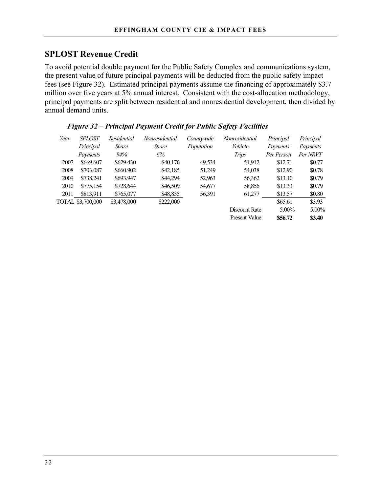# **SPLOST Revenue Credit**

To avoid potential double payment for the Public Safety Complex and communications system, the present value of future principal payments will be deducted from the public safety impact fees (see Figure 32). Estimated principal payments assume the financing of approximately \$3.7 million over five years at 5% annual interest. Consistent with the cost-allocation methodology, principal payments are split between residential and nonresidential development, then divided by annual demand units.

| Year | <b>SPLOST</b>     | Residential  | Nonresidential | Countywide | Nonresidential       | Principal  | Principal |
|------|-------------------|--------------|----------------|------------|----------------------|------------|-----------|
|      | Principal         | <i>Share</i> | <i>Share</i>   | Population | Vehicle              | Payments   | Payments  |
|      | Payments          | 94%          | 6%             |            | Trips                | Per Person | Per NRVT  |
| 2007 | \$669,607         | \$629,430    | \$40,176       | 49,534     | 51,912               | \$12.71    | \$0.77    |
| 2008 | \$703,087         | \$660,902    | \$42,185       | 51,249     | 54,038               | \$12.90    | \$0.78    |
| 2009 | \$738,241         | \$693,947    | \$44,294       | 52,963     | 56,362               | \$13.10    | \$0.79    |
| 2010 | \$775,154         | \$728,644    | \$46,509       | 54,677     | 58,856               | \$13.33    | \$0.79    |
| 2011 | \$813,911         | \$765,077    | \$48,835       | 56,391     | 61,277               | \$13.57    | \$0.80    |
|      | TOTAL \$3,700,000 | \$3,478,000  | \$222,000      |            |                      | \$65.61    | \$3.93    |
|      |                   |              |                |            | Discount Rate        | $5.00\%$   | 5.00%     |
|      |                   |              |                |            | <b>Present Value</b> | \$56.72    | \$3.40    |

### *Figure 32 – Principal Payment Credit for Public Safety Facilities*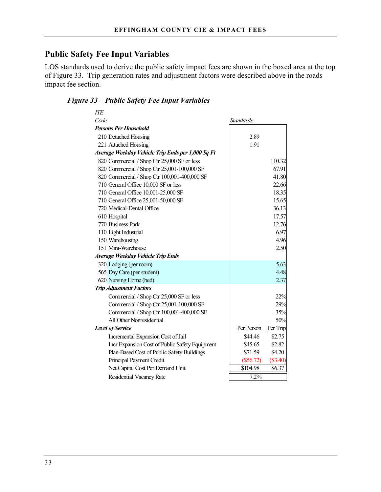# **Public Safety Fee Input Variables**

LOS standards used to derive the public safety impact fees are shown in the boxed area at the top of Figure 33. Trip generation rates and adjustment factors were described above in the roads impact fee section.

### *Figure 33 – Public Safety Fee Input Variables*

| <b>ITE</b>                                        |             |          |
|---------------------------------------------------|-------------|----------|
| Code                                              | Standards:  |          |
| Persons Per Household                             |             |          |
| 210 Detached Housing                              | 2.89        |          |
| 221 Attached Housing                              | 1.91        |          |
| Average Weekday Vehicle Trip Ends per 1,000 Sq Ft |             |          |
| 820 Commercial / Shop Ctr 25,000 SF or less       |             | 110.32   |
| 820 Commercial / Shop Ctr 25,001-100,000 SF       |             | 67.91    |
| 820 Commercial / Shop Ctr 100,001-400,000 SF      |             | 41.80    |
| 710 General Office 10,000 SF or less              |             | 22.66    |
| 710 General Office 10,001-25,000 SF               |             | 18.35    |
| 710 General Office 25,001-50,000 SF               |             | 15.65    |
| 720 Medical-Dental Office                         |             | 36.13    |
| 610 Hospital                                      |             | 17.57    |
| 770 Business Park                                 |             | 12.76    |
| 110 Light Industrial                              |             | 6.97     |
| 150 Warehousing                                   |             | 4.96     |
| 151 Mini-Warehouse                                |             | 2.50     |
| Average Weekday Vehicle Trip Ends                 |             |          |
| 320 Lodging (per room)                            |             | 5.63     |
| 565 Day Care (per student)                        |             | 4.48     |
| 620 Nursing Home (bed)                            |             | 2.37     |
| <b>Trip Adjustment Factors</b>                    |             |          |
| Commercial / Shop Ctr 25,000 SF or less           |             | 22%      |
| Commercial / Shop Ctr 25,001-100,000 SF           |             | 29%      |
| Commercial / Shop Ctr 100,001-400,000 SF          |             | 35%      |
| All Other Nonresidential                          |             | 50%      |
| <b>Level of Service</b>                           | Per Person  | Per Trip |
| Incremental Expansion Cost of Jail                | \$44.46     | \$2.75   |
| Incr Expansion Cost of Public Safety Equipment    | \$45.65     | \$2.82   |
| Plan-Based Cost of Public Safety Buildings        | \$71.59     | \$4.20   |
| Principal Payment Credit                          | $(\$56.72)$ | (\$3.40) |
| Net Capital Cost Per Demand Unit                  | \$104.98    | \$6.37   |
| Residential Vacancy Rate                          | 7.2%        |          |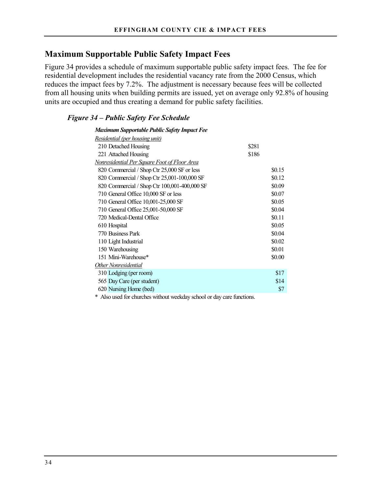### **Maximum Supportable Public Safety Impact Fees**

Figure 34 provides a schedule of maximum supportable public safety impact fees. The fee for residential development includes the residential vacancy rate from the 2000 Census, which reduces the impact fees by 7.2%. The adjustment is necessary because fees will be collected from all housing units when building permits are issued, yet on average only 92.8% of housing units are occupied and thus creating a demand for public safety facilities.

### *Figure 34 – Public Safety Fee Schedule*

| <b>Maximum Supportable Public Safety Impact Fee</b> |        |
|-----------------------------------------------------|--------|
| Residential (per housing unit)                      |        |
| 210 Detached Housing                                | \$281  |
| 221 Attached Housing                                | \$186  |
| Nonresidential Per Square Foot of Floor Area        |        |
| 820 Commercial / Shop Ctr 25,000 SF or less         | \$0.15 |
| 820 Commercial / Shop Ctr 25,001-100,000 SF         | \$0.12 |
| 820 Commercial / Shop Ctr 100,001-400,000 SF        | \$0.09 |
| 710 General Office 10,000 SF or less                | \$0.07 |
| 710 General Office 10,001-25,000 SF                 | \$0.05 |
| 710 General Office 25,001-50,000 SF                 | \$0.04 |
| 720 Medical-Dental Office                           | \$0.11 |
| 610 Hospital                                        | \$0.05 |
| 770 Business Park                                   | \$0.04 |
| 110 Light Industrial                                | \$0.02 |
| 150 Warehousing                                     | \$0.01 |
| 151 Mini-Warehouse*                                 | \$0.00 |
| Other Nonresidential                                |        |
| 310 Lodging (per room)                              | \$17   |
| 565 Day Care (per student)                          | \$14   |
| 620 Nursing Home (bed)                              | \$7    |
|                                                     |        |

\* Also used for churches without weekday school or day care functions.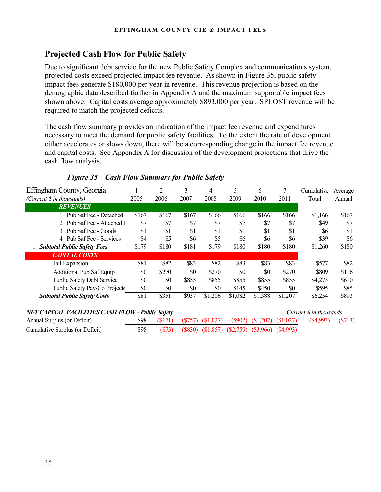# **Projected Cash Flow for Public Safety**

Due to significant debt service for the new Public Safety Complex and communications system, projected costs exceed projected impact fee revenue. As shown in Figure 35, public safety impact fees generate \$180,000 per year in revenue. This revenue projection is based on the demographic data described further in Appendix A and the maximum supportable impact fees shown above. Capital costs average approximately \$893,000 per year. SPLOST revenue will be required to match the projected deficits.

The cash flow summary provides an indication of the impact fee revenue and expenditures necessary to meet the demand for public safety facilities. To the extent the rate of development either accelerates or slows down, there will be a corresponding change in the impact fee revenue and capital costs. See Appendix A for discussion of the development projections that drive the cash flow analysis.

| Effingham County, Georgia                                                                |       | 2     | 3     | 4       | 5       | 6       |         | Cumulative | Average |
|------------------------------------------------------------------------------------------|-------|-------|-------|---------|---------|---------|---------|------------|---------|
| (Current \$ in thousands)                                                                | 2005  | 2006  | 2007  | 2008    | 2009    | 2010    | 2011    | Total      | Annual  |
| <b>REVENUES</b>                                                                          |       |       |       |         |         |         |         |            |         |
| Pub Saf Fee - Detached                                                                   | \$167 | \$167 | \$167 | \$166   | \$166   | \$166   | \$166   | \$1,166    | \$167   |
| 2 Pub Saf Fee - Attached 1                                                               | \$7   | \$7   | \$7   | \$7     | \$7     | \$7     | \$7     | \$49       | \$7     |
| 3 Pub Saf Fee - Goods                                                                    | \$1   | \$1   | \$1   | \$1     | \$1     | \$1     | \$1     | \$6        | \$1     |
| 4 Pub Saf Fee - Services                                                                 | \$4   | \$5   | \$6   | \$5     | \$6     | \$6     | \$6     | \$39       | \$6     |
| <b>Subtotal Public Safety Fees</b>                                                       | \$179 | \$180 | \$181 | \$179   | \$180   | \$180   | \$180   | \$1,260    | \$180   |
| <b>CAPITAL COSTS</b>                                                                     |       |       |       |         |         |         |         |            |         |
| Jail Expansion                                                                           | \$81  | \$82  | \$83  | \$82    | \$83    | \$83    | \$83    | \$577      | \$82    |
| <b>Additional Pub Saf Equip</b>                                                          | \$0   | \$270 | \$0   | \$270   | \$0     | \$0     | \$270   | \$809      | \$116   |
| <b>Public Safety Debt Service</b>                                                        | \$0   | \$0   | \$855 | \$855   | \$855   | \$855   | \$855   | \$4,273    | \$610   |
| Public Safety Pay-Go Projects                                                            | \$0   | \$0   | \$0   | \$0     | \$145   | \$450   | \$0     | \$595      | \$85    |
| <b>Subtotal Public Safety Costs</b>                                                      | \$81  | \$351 | \$937 | \$1,206 | \$1,082 | \$1,388 | \$1,207 | \$6,254    | \$893   |
| <b>NET CAPITAL FACILITIES CASH FLOW - Public Safety</b><br>Current <i>S</i> in thousands |       |       |       |         |         |         |         |            |         |

### *Figure 35 – Cash Flow Summary for Public Safety*

| <b>NET CAPITAL FACILITIES CASH FLOW - Public Safety</b> |      |  | Current \$ in thousands |                                                                   |                       |  |
|---------------------------------------------------------|------|--|-------------------------|-------------------------------------------------------------------|-----------------------|--|
| Annual Surplus (or Deficit)                             |      |  |                         | $(\$171)$ $(\$757)$ $(\$1,027)$ $(\$902)$ $(\$1,207)$ $(\$1,027)$ | $(\$4,993)$ $(\$713)$ |  |
| Cumulative Surplus (or Deficit)                         | \$98 |  |                         | $(S73)$ $(S830)$ $(S1,857)$ $(S2,759)$ $(S3,966)$ $(S4,993)$      |                       |  |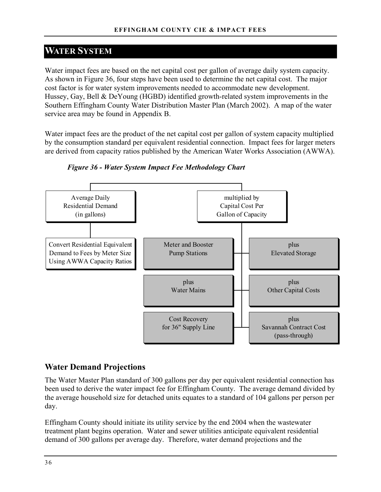# **WATER SYSTEM**

Water impact fees are based on the net capital cost per gallon of average daily system capacity. As shown in Figure 36, four steps have been used to determine the net capital cost. The major cost factor is for water system improvements needed to accommodate new development. Hussey, Gay, Bell & DeYoung (HGBD) identified growth-related system improvements in the Southern Effingham County Water Distribution Master Plan (March 2002). A map of the water service area may be found in Appendix B.

Water impact fees are the product of the net capital cost per gallon of system capacity multiplied by the consumption standard per equivalent residential connection. Impact fees for larger meters are derived from capacity ratios published by the American Water Works Association (AWWA).



*Figure 36 - Water System Impact Fee Methodology Chart* 

# **Water Demand Projections**

The Water Master Plan standard of 300 gallons per day per equivalent residential connection has been used to derive the water impact fee for Effingham County. The average demand divided by the average household size for detached units equates to a standard of 104 gallons per person per day.

Effingham County should initiate its utility service by the end 2004 when the wastewater treatment plant begins operation. Water and sewer utilities anticipate equivalent residential demand of 300 gallons per average day. Therefore, water demand projections and the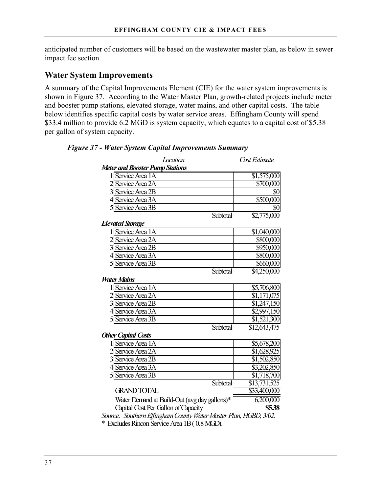anticipated number of customers will be based on the wastewater master plan, as below in sewer impact fee section.

### **Water System Improvements**

A summary of the Capital Improvements Element (CIE) for the water system improvements is shown in Figure 37. According to the Water Master Plan, growth-related projects include meter and booster pump stations, elevated storage, water mains, and other capital costs. The table below identifies specific capital costs by water service areas. Effingham County will spend \$33.4 million to provide 6.2 MGD is system capacity, which equates to a capital cost of \$5.38 per gallon of system capacity.

| Location                                                         | Cost Estimate           |
|------------------------------------------------------------------|-------------------------|
| <b>Meter and Booster Pump Stations</b>                           |                         |
| 1 Service Area 1A                                                | $\overline{51,575,000}$ |
| 2 Service Area 2A                                                | \$700,000               |
| 3 Service Area 2B                                                | \$0                     |
| 4 Service Area 3A                                                | \$500,000               |
| 5 Service Area 3B                                                | \$0                     |
| Subtotal                                                         | \$2,775,000             |
| <b>Elevated Storage</b>                                          |                         |
| 1 Service Area 1A                                                | \$1,040,000             |
| 2 Service Area 2A                                                | \$800,000               |
| 3 Service Area 2B                                                | $\overline{$}950,000$   |
| 4 Service Area 3A                                                | \$800,000               |
| 5 Service Area 3B                                                | $\overline{$660,000}$   |
| Subtotal                                                         | $\overline{$}4,250,000$ |
| <b>Water Mains</b>                                               |                         |
| 1 Service Area 1A                                                | \$5,706,800             |
| 2 Service Area 2A                                                | \$1,171,075             |
| 3 Service Area 2B                                                | \$1,247,150             |
| 4 Service Area 3A                                                | \$2,997,150             |
| 5 Service Area 3B                                                | \$1,521,300             |
| Subtotal                                                         | \$12,643,475            |
| <b>Other Capital Costs</b>                                       |                         |
| 1 Service Area 1A                                                | \$5,678,200             |
| 2 Service Area 2A                                                | \$1,628,925             |
| 3 Service Area 2B                                                | \$1,502,850             |
| 4 Service Area 3A                                                | \$3,202,850             |
| 5 Service Area 3B                                                | $\overline{1,718,700}$  |
| Subtotal                                                         | \$13,731,525            |
| <b>GRAND TOTAL</b>                                               | \$33,400,000            |
| Water Demand at Build-Out (avg day gallons)*                     | 6,200,000               |
| Capital Cost Per Gallon of Capacity                              | \$5.38                  |
| Source: Southern Effingham County Water Master Plan, HGBD, 3/02. |                         |
| * Excludes Rincon Service Area 1B (0.8 MGD).                     |                         |

#### *Figure 37 - Water System Capital Improvements Summary*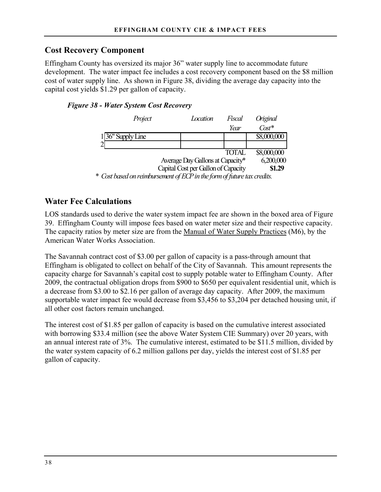# **Cost Recovery Component**

Effingham County has oversized its major 36" water supply line to accommodate future development. The water impact fee includes a cost recovery component based on the \$8 million cost of water supply line. As shown in Figure 38, dividing the average day capacity into the capital cost yields \$1.29 per gallon of capacity.

### *Figure 38 - Water System Cost Recovery*

| Project                                                                   | Location                            | Fiscal | Original    |  |  |  |  |
|---------------------------------------------------------------------------|-------------------------------------|--------|-------------|--|--|--|--|
|                                                                           |                                     | Year   | $\cos t^*$  |  |  |  |  |
| 36" Supply Line                                                           |                                     |        | \$8,000,000 |  |  |  |  |
|                                                                           |                                     |        |             |  |  |  |  |
|                                                                           |                                     | TOTAL  | \$8,000,000 |  |  |  |  |
| 6,200,000<br>Average Day Gallons at Capacity*                             |                                     |        |             |  |  |  |  |
|                                                                           | Capital Cost per Gallon of Capacity |        | \$1.29      |  |  |  |  |
| $^*$ Cost based on vaimbursement of ECP in the form of future tox evedits |                                     |        |             |  |  |  |  |

*\* Cost based on reimbursement of ECP in the form of future tax credits.*

# **Water Fee Calculations**

LOS standards used to derive the water system impact fee are shown in the boxed area of Figure 39. Effingham County will impose fees based on water meter size and their respective capacity. The capacity ratios by meter size are from the Manual of Water Supply Practices (M6), by the American Water Works Association.

The Savannah contract cost of \$3.00 per gallon of capacity is a pass-through amount that Effingham is obligated to collect on behalf of the City of Savannah. This amount represents the capacity charge for Savannah's capital cost to supply potable water to Effingham County. After 2009, the contractual obligation drops from \$900 to \$650 per equivalent residential unit, which is a decrease from \$3.00 to \$2.16 per gallon of average day capacity. After 2009, the maximum supportable water impact fee would decrease from \$3,456 to \$3,204 per detached housing unit, if all other cost factors remain unchanged.

The interest cost of \$1.85 per gallon of capacity is based on the cumulative interest associated with borrowing \$33.4 million (see the above Water System CIE Summary) over 20 years, with an annual interest rate of 3%. The cumulative interest, estimated to be \$11.5 million, divided by the water system capacity of 6.2 million gallons per day, yields the interest cost of \$1.85 per gallon of capacity.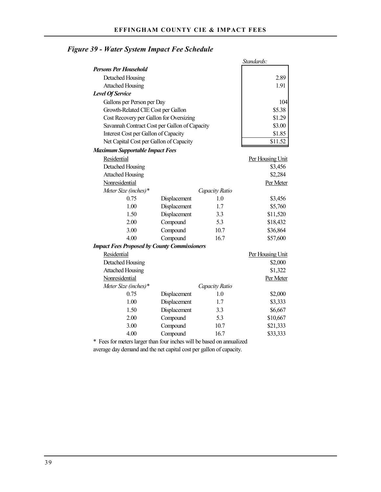|                                                     |              |                | Standards:       |
|-----------------------------------------------------|--------------|----------------|------------------|
| <b>Persons Per Household</b>                        |              |                |                  |
| Detached Housing                                    |              |                | 2.89             |
| <b>Attached Housing</b>                             |              |                | 1.91             |
| <b>Level Of Service</b>                             |              |                |                  |
| Gallons per Person per Day                          |              |                | 104              |
| Growth-Related CIE Cost per Gallon                  |              |                | \$5.38           |
| Cost Recovery per Gallon for Oversizing             |              |                | \$1.29           |
| Savannah Contract Cost per Gallon of Capacity       |              |                | \$3.00           |
| Interest Cost per Gallon of Capacity                |              |                | \$1.85           |
| Net Capital Cost per Gallon of Capacity             |              |                | \$11.52          |
| <b>Maximum Supportable Impact Fees</b>              |              |                |                  |
| Residential                                         |              |                | Per Housing Unit |
| Detached Housing                                    |              |                | \$3,456          |
| <b>Attached Housing</b>                             |              |                | \$2,284          |
| Nonresidential                                      |              |                | Per Meter        |
| Meter Size (inches)*                                |              | Capacity Ratio |                  |
| 0.75                                                | Displacement | 1.0            | \$3,456          |
| 1.00                                                | Displacement | 1.7            | \$5,760          |
| 1.50                                                | Displacement | 3.3            | \$11,520         |
| 2.00                                                | Compound     | 5.3            | \$18,432         |
| 3.00                                                | Compound     | 10.7           | \$36,864         |
| 4.00                                                | Compound     | 16.7           | \$57,600         |
| <b>Impact Fees Proposed by County Commissioners</b> |              |                |                  |
| Residential                                         |              |                | Per Housing Unit |
| Detached Housing                                    |              |                | \$2,000          |
| <b>Attached Housing</b>                             |              |                | \$1,322          |
| Nonresidential                                      |              |                | Per Meter        |
| Meter Size (inches)*                                |              | Capacity Ratio |                  |
| 0.75                                                | Displacement | 1.0            | \$2,000          |
| 1.00                                                | Displacement | 1.7            | \$3,333          |
| 1.50                                                | Displacement | 3.3            | \$6,667          |
| 2.00                                                | Compound     | 5.3            | \$10,667         |
| 3.00                                                | Compound     | 10.7           | \$21,333         |
| 4.00                                                | Compound     | 16.7           | \$33,333         |

# *Figure 39 - Water System Impact Fee Schedule*

\* Fees for meters larger than four inches will be based on annualized average day demand and the net capital cost per gallon of capacity.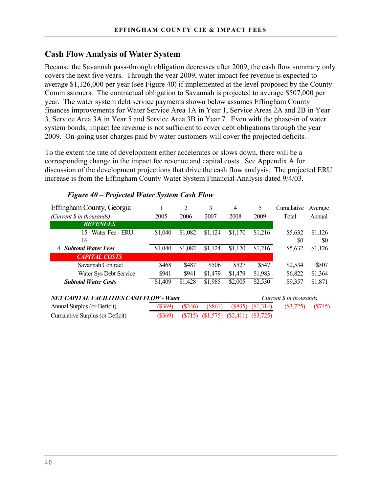### **Cash Flow Analysis of Water System**

Because the Savannah pass-through obligation decreases after 2009, the cash flow summary only covers the next five years. Through the year 2009, water impact fee revenue is expected to average \$1,126,000 per year (see Figure 40) if implemented at the level proposed by the County Commissioners. The contractual obligation to Savannah is projected to average \$507,000 per year. The water system debt service payments shown below assumes Effingham County finances improvements for Water Service Area 1A in Year 1, Service Areas 2A and 2B in Year 3, Service Area 3A in Year 5 and Service Area 3B in Year 7. Even with the phase-in of water system bonds, impact fee revenue is not sufficient to cover debt obligations through the year 2009. On-going user charges paid by water customers will cover the projected deficits.

To the extent the rate of development either accelerates or slows down, there will be a corresponding change in the impact fee revenue and capital costs. See Appendix A for discussion of the development projections that drive the cash flow analysis. The projected ERU increase is from the Effingham County Water System Financial Analysis dated 9/4/03.

| Effingham County, Georgia                       |           | $\overline{c}$ | 3         | 4         | 5         | Cumulative             | Average   |
|-------------------------------------------------|-----------|----------------|-----------|-----------|-----------|------------------------|-----------|
| (Current \$ in thousands)                       | 2005      | 2006           | 2007      | 2008      | 2009      | Total                  | Annual    |
| <b>REVENUES</b>                                 |           |                |           |           |           |                        |           |
| Water Fee - ERU<br>15                           | \$1,040   | \$1,082        | \$1,124   | \$1,170   | \$1,216   | \$5,632                | \$1,126   |
| 16                                              |           |                |           |           |           | \$0                    | SO.       |
| <b>Subtotal Water Fees</b><br>4                 | \$1,040   | \$1,082        | \$1,124   | \$1,170   | \$1,216   | \$5,632                | \$1,126   |
| <b>CAPITAL COSTS</b>                            |           |                |           |           |           |                        |           |
| Savannah Contract                               | \$468     | \$487          | \$506     | \$527     | \$547     | \$2,534                | \$507     |
| Water Sys Debt Service                          | \$941     | \$941          | \$1,479   | \$1,479   | \$1,983   | \$6,822                | \$1,364   |
| <b>Subtotal Water Costs</b>                     | \$1,409   | \$1,428        | \$1,985   | \$2,005   | \$2,530   | \$9,357                | \$1,871   |
| <b>NET CAPITAL FACILITIES CASH FLOW - Water</b> |           |                |           |           |           | Current S in thousands |           |
| Annual Surplus (or Deficit)                     | $(\$369)$ | $(\$346)$      | (S861)    | (S835)    | (S1,314)  | $(\$3,725)$            | $(\$745)$ |
| Cumulative Surplus (or Deficit)                 | $(\$369)$ | (S715)         | (\$1,575) | (\$2,411) | (S3, 725) |                        |           |

### *Figure 40 – Projected Water System Cash Flow*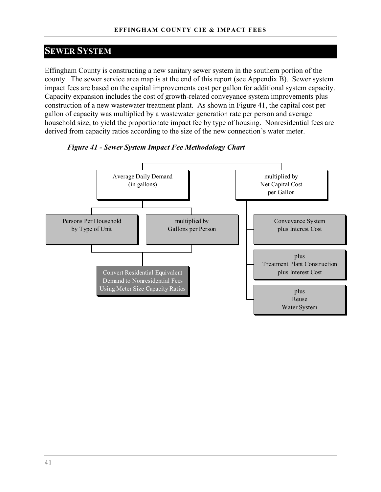# **SEWER SYSTEM**

Effingham County is constructing a new sanitary sewer system in the southern portion of the county. The sewer service area map is at the end of this report (see Appendix B). Sewer system impact fees are based on the capital improvements cost per gallon for additional system capacity. Capacity expansion includes the cost of growth-related conveyance system improvements plus construction of a new wastewater treatment plant. As shown in Figure 41, the capital cost per gallon of capacity was multiplied by a wastewater generation rate per person and average household size, to yield the proportionate impact fee by type of housing. Nonresidential fees are derived from capacity ratios according to the size of the new connection's water meter.



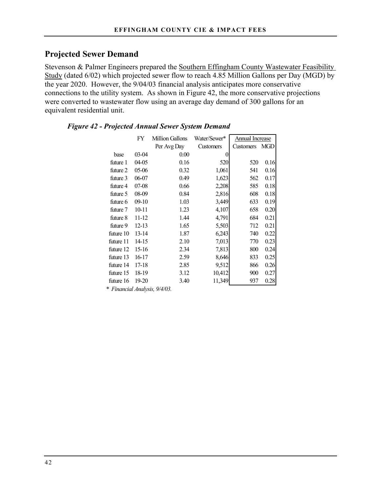# **Projected Sewer Demand**

Stevenson & Palmer Engineers prepared the Southern Effingham County Wastewater Feasibility Study (dated 6/02) which projected sewer flow to reach 4.85 Million Gallons per Day (MGD) by the year 2020. However, the 9/04/03 financial analysis anticipates more conservative connections to the utility system. As shown in Figure 42, the more conservative projections were converted to wastewater flow using an average day demand of 300 gallons for an equivalent residential unit.

|           | FY        | Million Gallons | Water/Sewer* | <b>Annual Increase</b> |      |
|-----------|-----------|-----------------|--------------|------------------------|------|
|           |           | Per Avg Day     | Customers    | Customers              | MGD  |
| base      | 03-04     | 0.00            | 0            |                        |      |
| future 1  | 04-05     | 0.16            | 520          | 520                    | 0.16 |
| future 2  | 05-06     | 0.32            | 1,061        | 541                    | 0.16 |
| future 3  | 06-07     | 0.49            | 1,623        | 562                    | 0.17 |
| future 4  | $07 - 08$ | 0.66            | 2,208        | 585                    | 0.18 |
| future 5  | 08-09     | 0.84            | 2,816        | 608                    | 0.18 |
| future 6  | $09-10$   | 1.03            | 3,449        | 633                    | 0.19 |
| future 7  | $10 - 11$ | 1.23            | 4,107        | 658                    | 0.20 |
| future 8  | 11-12     | 1.44            | 4,791        | 684                    | 0.21 |
| future 9  | $12 - 13$ | 1.65            | 5,503        | 712                    | 0.21 |
| future 10 | $13 - 14$ | 1.87            | 6,243        | 740                    | 0.22 |
| future 11 | 14-15     | 2.10            | 7,013        | 770                    | 0.23 |
| future 12 | 15-16     | 2.34            | 7,813        | 800                    | 0.24 |
| future 13 | 16-17     | 2.59            | 8,646        | 833                    | 0.25 |
| future 14 | 17-18     | 2.85            | 9,512        | 866                    | 0.26 |
| future 15 | 18-19     | 3.12            | 10,412       | 900                    | 0.27 |
| future 16 | 19-20     | 3.40            | 11,349       | 937                    | 0.28 |

### *Figure 42 - Projected Annual Sewer System Demand*

*\* Financial Analysis, 9/4/03.*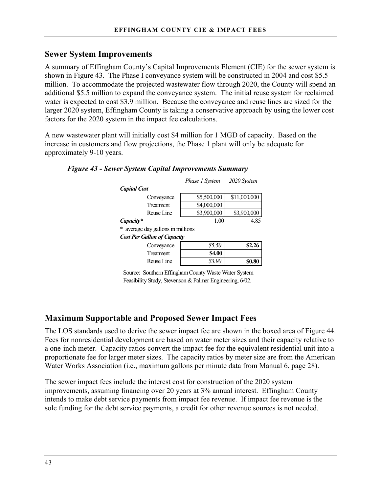### **Sewer System Improvements**

A summary of Effingham County's Capital Improvements Element (CIE) for the sewer system is shown in Figure 43. The Phase I conveyance system will be constructed in 2004 and cost \$5.5 million. To accommodate the projected wastewater flow through 2020, the County will spend an additional \$5.5 million to expand the conveyance system. The initial reuse system for reclaimed water is expected to cost \$3.9 million. Because the conveyance and reuse lines are sized for the larger 2020 system, Effingham County is taking a conservative approach by using the lower cost factors for the 2020 system in the impact fee calculations.

A new wastewater plant will initially cost \$4 million for 1 MGD of capacity. Based on the increase in customers and flow projections, the Phase 1 plant will only be adequate for approximately 9-10 years.

|                                    | Phase 1 System | 2020 System  |
|------------------------------------|----------------|--------------|
| <b>Capital Cost</b>                |                |              |
| Conveyance                         | \$5,500,000    | \$11,000,000 |
| <b>Treatment</b>                   | \$4,000,000    |              |
| Reuse Line                         | \$3,900,000    | \$3,900,000  |
| Capacity*                          | 1.00           | 4.85         |
| * average day gallons in millions  |                |              |
| <b>Cost Per Gallon of Capacity</b> |                |              |
| Conveyance                         | \$5.50         | \$2.26       |
| <b>Treatment</b>                   | <b>\$4.00</b>  |              |
| Reuse Line                         | \$3.90         | \$0.80       |

### *Figure 43 - Sewer System Capital Improvements Summary*

Source: Southern Effingham County Waste Water System Feasibility Study, Stevenson & Palmer Engineering, 6/02.

# **Maximum Supportable and Proposed Sewer Impact Fees**

The LOS standards used to derive the sewer impact fee are shown in the boxed area of Figure 44. Fees for nonresidential development are based on water meter sizes and their capacity relative to a one-inch meter. Capacity ratios convert the impact fee for the equivalent residential unit into a proportionate fee for larger meter sizes. The capacity ratios by meter size are from the American Water Works Association (i.e., maximum gallons per minute data from Manual 6, page 28).

The sewer impact fees include the interest cost for construction of the 2020 system improvements, assuming financing over 20 years at 3% annual interest. Effingham County intends to make debt service payments from impact fee revenue. If impact fee revenue is the sole funding for the debt service payments, a credit for other revenue sources is not needed.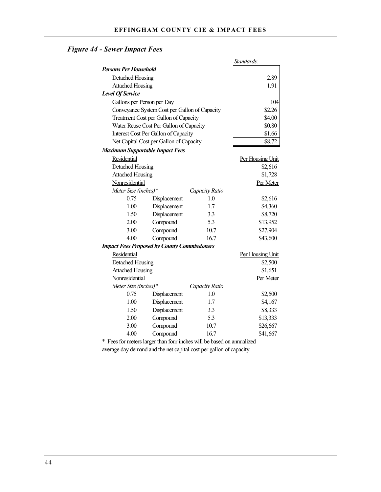# *Figure 44 - Sewer Impact Fees*

|                                        |                                                     |                | Standards:       |
|----------------------------------------|-----------------------------------------------------|----------------|------------------|
| <b>Persons Per Household</b>           |                                                     |                |                  |
| Detached Housing                       |                                                     |                | 2.89             |
| <b>Attached Housing</b>                |                                                     |                | 1.91             |
| <b>Level Of Service</b>                |                                                     |                |                  |
| Gallons per Person per Day             |                                                     |                | 104              |
|                                        | Conveyance System Cost per Gallon of Capacity       |                | \$2.26           |
|                                        | Treatment Cost per Gallon of Capacity               |                | \$4.00           |
|                                        | Water Reuse Cost Per Gallon of Capacity             |                | \$0.80           |
|                                        | Interest Cost Per Gallon of Capacity                |                | \$1.66           |
|                                        | Net Capital Cost per Gallon of Capacity             |                | \$8.72           |
| <b>Maximum Supportable Impact Fees</b> |                                                     |                |                  |
| Residential                            |                                                     |                | Per Housing Unit |
| Detached Housing                       |                                                     |                | \$2,616          |
| <b>Attached Housing</b>                |                                                     |                | \$1,728          |
| Nonresidential                         |                                                     |                | Per Meter        |
| Meter Size (inches)*                   |                                                     | Capacity Ratio |                  |
| 0.75                                   | Displacement                                        | 1.0            | \$2,616          |
| 1.00                                   | Displacement                                        | 1.7            | \$4,360          |
| 1.50                                   | Displacement                                        | 3.3            | \$8,720          |
| 2.00                                   | Compound                                            | 5.3            | \$13,952         |
| 3.00                                   | Compound                                            | 10.7           | \$27,904         |
| 4.00                                   | Compound                                            | 16.7           | \$43,600         |
|                                        | <b>Impact Fees Proposed by County Commissioners</b> |                |                  |
| Residential                            |                                                     |                | Per Housing Unit |
| Detached Housing                       |                                                     |                | \$2,500          |
| <b>Attached Housing</b>                |                                                     |                | \$1,651          |
| Nonresidential                         |                                                     |                | Per Meter        |
| Meter Size (inches)*                   |                                                     | Capacity Ratio |                  |
| 0.75                                   | Displacement                                        | 1.0            | \$2,500          |
| 1.00                                   | Displacement                                        | 1.7            | \$4,167          |
| 1.50                                   | Displacement                                        | 3.3            | \$8,333          |
| 2.00                                   | Compound                                            | 5.3            | \$13,333         |
| 3.00                                   | Compound                                            | 10.7           | \$26,667         |
| 4.00                                   | Compound                                            | 16.7           | \$41,667         |

\* Fees for meters larger than four inches will be based on annualized average day demand and the net capital cost per gallon of capacity.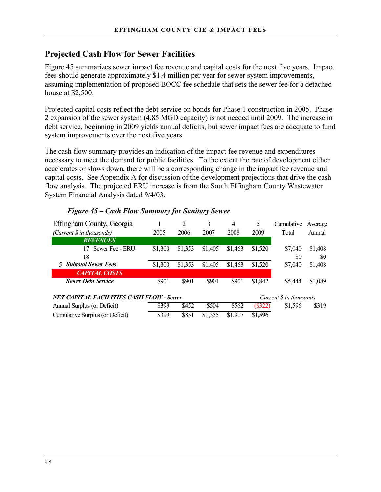# **Projected Cash Flow for Sewer Facilities**

Figure 45 summarizes sewer impact fee revenue and capital costs for the next five years. Impact fees should generate approximately \$1.4 million per year for sewer system improvements, assuming implementation of proposed BOCC fee schedule that sets the sewer fee for a detached house at \$2,500.

Projected capital costs reflect the debt service on bonds for Phase 1 construction in 2005. Phase 2 expansion of the sewer system (4.85 MGD capacity) is not needed until 2009. The increase in debt service, beginning in 2009 yields annual deficits, but sewer impact fees are adequate to fund system improvements over the next five years.

The cash flow summary provides an indication of the impact fee revenue and expenditures necessary to meet the demand for public facilities. To the extent the rate of development either accelerates or slows down, there will be a corresponding change in the impact fee revenue and capital costs. See Appendix A for discussion of the development projections that drive the cash flow analysis. The projected ERU increase is from the South Effingham County Wastewater System Financial Analysis dated 9/4/03.

| Effingham County, Georgia                       |         | 2       | 3       | $\overline{4}$ | 5       | Cumulative             | Average |
|-------------------------------------------------|---------|---------|---------|----------------|---------|------------------------|---------|
| (Current \$ in thousands)                       | 2005    | 2006    | 2007    | 2008           | 2009    | Total                  | Annual  |
| <b>REVENUES</b>                                 |         |         |         |                |         |                        |         |
| Sewer Fee - ERU<br>17                           | \$1,300 | \$1,353 | \$1,405 | \$1,463        | \$1,520 | \$7,040                | \$1,408 |
| 18                                              |         |         |         |                |         | \$0                    | \$0     |
| <b>5</b> Subtotal Sewer Fees                    | \$1,300 | \$1,353 | \$1,405 | \$1,463        | \$1,520 | \$7,040                | \$1,408 |
| <b>CAPITAL COSTS</b>                            |         |         |         |                |         |                        |         |
| <b>Sewer Debt Service</b>                       | \$901   | \$901   | \$901   | \$901          | \$1,842 | \$5,444                | \$1,089 |
|                                                 |         |         |         |                |         |                        |         |
| <b>NET CAPITAL FACILITIES CASH FLOW - Sewer</b> |         |         |         |                |         | Current S in thousands |         |
| Annual Surplus (or Deficit)                     | \$399   | \$452   | \$504   | \$562          | (\$322) | \$1,596                | \$319   |
| Cumulative Surplus (or Deficit)                 | \$399   | \$851   | \$1,355 | \$1,917        | \$1,596 |                        |         |

### *Figure 45 – Cash Flow Summary for Sanitary Sewer*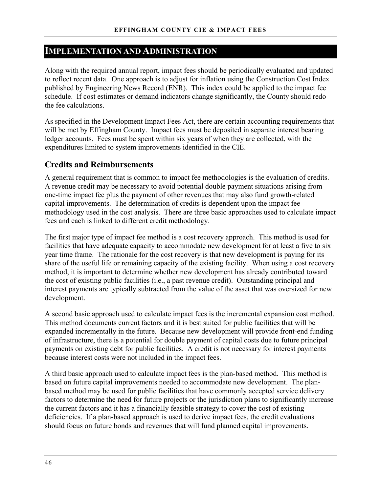# **IMPLEMENTATION AND ADMINISTRATION**

Along with the required annual report, impact fees should be periodically evaluated and updated to reflect recent data. One approach is to adjust for inflation using the Construction Cost Index published by Engineering News Record (ENR). This index could be applied to the impact fee schedule. If cost estimates or demand indicators change significantly, the County should redo the fee calculations.

As specified in the Development Impact Fees Act, there are certain accounting requirements that will be met by Effingham County. Impact fees must be deposited in separate interest bearing ledger accounts. Fees must be spent within six years of when they are collected, with the expenditures limited to system improvements identified in the CIE.

### **Credits and Reimbursements**

A general requirement that is common to impact fee methodologies is the evaluation of credits. A revenue credit may be necessary to avoid potential double payment situations arising from one-time impact fee plus the payment of other revenues that may also fund growth-related capital improvements. The determination of credits is dependent upon the impact fee methodology used in the cost analysis. There are three basic approaches used to calculate impact fees and each is linked to different credit methodology.

The first major type of impact fee method is a cost recovery approach. This method is used for facilities that have adequate capacity to accommodate new development for at least a five to six year time frame. The rationale for the cost recovery is that new development is paying for its share of the useful life or remaining capacity of the existing facility. When using a cost recovery method, it is important to determine whether new development has already contributed toward the cost of existing public facilities (i.e., a past revenue credit). Outstanding principal and interest payments are typically subtracted from the value of the asset that was oversized for new development.

A second basic approach used to calculate impact fees is the incremental expansion cost method. This method documents current factors and it is best suited for public facilities that will be expanded incrementally in the future. Because new development will provide front-end funding of infrastructure, there is a potential for double payment of capital costs due to future principal payments on existing debt for public facilities. A credit is not necessary for interest payments because interest costs were not included in the impact fees.

A third basic approach used to calculate impact fees is the plan-based method. This method is based on future capital improvements needed to accommodate new development. The planbased method may be used for public facilities that have commonly accepted service delivery factors to determine the need for future projects or the jurisdiction plans to significantly increase the current factors and it has a financially feasible strategy to cover the cost of existing deficiencies. If a plan-based approach is used to derive impact fees, the credit evaluations should focus on future bonds and revenues that will fund planned capital improvements.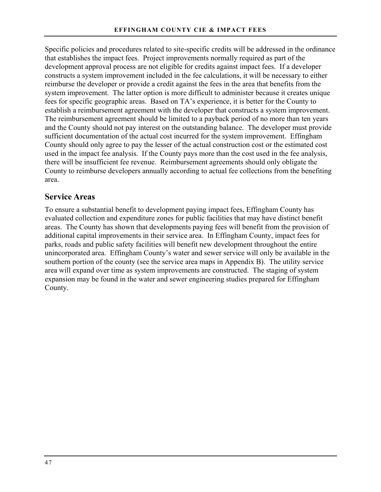Specific policies and procedures related to site-specific credits will be addressed in the ordinance that establishes the impact fees. Project improvements normally required as part of the development approval process are not eligible for credits against impact fees. If a developer constructs a system improvement included in the fee calculations, it will be necessary to either reimburse the developer or provide a credit against the fees in the area that benefits from the system improvement. The latter option is more difficult to administer because it creates unique fees for specific geographic areas. Based on TA's experience, it is better for the County to establish a reimbursement agreement with the developer that constructs a system improvement. The reimbursement agreement should be limited to a payback period of no more than ten years and the County should not pay interest on the outstanding balance. The developer must provide sufficient documentation of the actual cost incurred for the system improvement. Effingham County should only agree to pay the lesser of the actual construction cost or the estimated cost used in the impact fee analysis. If the County pays more than the cost used in the fee analysis, there will be insufficient fee revenue. Reimbursement agreements should only obligate the County to reimburse developers annually according to actual fee collections from the benefiting area.

### **Service Areas**

To ensure a substantial benefit to development paying impact fees, Effingham County has evaluated collection and expenditure zones for public facilities that may have distinct benefit areas. The County has shown that developments paying fees will benefit from the provision of additional capital improvements in their service area. In Effingham County, impact fees for parks, roads and public safety facilities will benefit new development throughout the entire unincorporated area. Effingham County's water and sewer service will only be available in the southern portion of the county (see the service area maps in Appendix B). The utility service area will expand over time as system improvements are constructed. The staging of system expansion may be found in the water and sewer engineering studies prepared for Effingham County.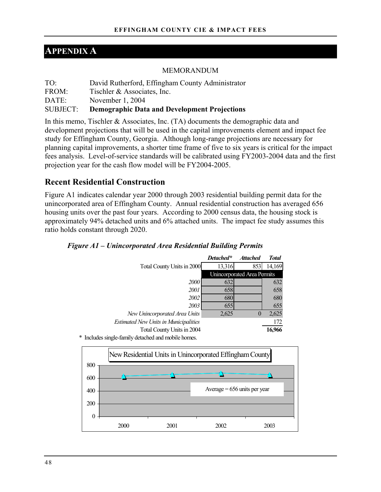# **APPENDIX A**

#### MEMORANDUM

| $TO^{\cdot}$ | David Rutherford, Effingham County Administrator    |
|--------------|-----------------------------------------------------|
| FROM:        | Tischler & Associates, Inc.                         |
| DATE:        | November 1, 2004                                    |
| SUBJECT:     | <b>Demographic Data and Development Projections</b> |

In this memo, Tischler & Associates, Inc. (TA) documents the demographic data and development projections that will be used in the capital improvements element and impact fee study for Effingham County, Georgia. Although long-range projections are necessary for planning capital improvements, a shorter time frame of five to six years is critical for the impact fees analysis. Level-of-service standards will be calibrated using FY2003-2004 data and the first projection year for the cash flow model will be FY2004-2005.

### **Recent Residential Construction**

Figure A1 indicates calendar year 2000 through 2003 residential building permit data for the unincorporated area of Effingham County. Annual residential construction has averaged 656 housing units over the past four years. According to 2000 census data, the housing stock is approximately 94% detached units and 6% attached units. The impact fee study assumes this ratio holds constant through 2020.

|                                                   | Detached* | <b>Attached</b>             | <b>Total</b> |
|---------------------------------------------------|-----------|-----------------------------|--------------|
| Total County Units in 2000                        | 13,316    | 853                         | 14,169       |
|                                                   |           | Unincorporated Area Permits |              |
| 2000                                              | 632       |                             | 632          |
| 2001                                              | 658       |                             | 658          |
| 2002                                              | 680       |                             | 680          |
| 2003                                              | 655       |                             | 655          |
| New Unincorporated Area Units                     | 2,625     | 0                           | 2,625        |
| <b>Estimated New Units in Municipalities</b>      |           |                             | 172          |
| Total County Units in 2004                        |           |                             | 16,966       |
| Includes single-family detached and mobile homes. |           |                             |              |

*Figure A1 – Unincorporated Area Residential Building Permits* 

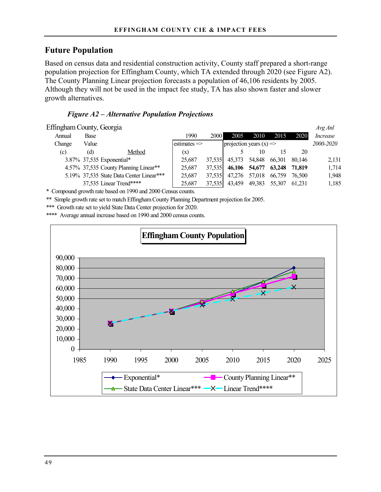### **Future Population**

Based on census data and residential construction activity, County staff prepared a short-range population projection for Effingham County, which TA extended through 2020 (see Figure A2). The County Planning Linear projection forecasts a population of 46,106 residents by 2005. Although they will not be used in the impact fee study, TA has also shown faster and slower growth alternatives.

### *Figure A2 – Alternative Population Projections*

| Effingham County, Georgia |       |                                          |                         |        |                                    |        |        |        | Avg Anl   |
|---------------------------|-------|------------------------------------------|-------------------------|--------|------------------------------------|--------|--------|--------|-----------|
| Annual                    | Base  |                                          | 1990                    | 2000   | 2005                               | 2010   | 2015   | 2020   | Increase  |
| Change                    | Value |                                          | $estimates \Rightarrow$ |        | projection years $(x) \Rightarrow$ |        |        |        | 2000-2020 |
| (c)                       | (d)   | Method                                   | (x)                     |        |                                    | 10     | 15     | 20     |           |
|                           |       | 3.87% 37,535 Exponential*                | 25.687                  | 37.535 | 45.373                             | 54,848 | 66.301 | 80.146 | 2,131     |
|                           |       | 4.57% 37,535 County Planning Linear**    | 25.687                  | 37.535 | 46,106                             | 54,677 | 63,248 | 71.819 | 1,714     |
|                           |       | 5.19% 37,535 State Data Center Linear*** | 25.687                  | 37.535 | 47.276                             | 57.018 | 66.759 | 76.500 | 1,948     |
|                           |       | 37,535 Linear Trend****                  | 25,687                  | 37,535 | 43.459                             | 49,383 | 55.307 | 61.231 | 1,185     |

\* Compound growth rate based on 1990 and 2000 Census counts.

\*\* Simple growth rate set to match Effingham County Planning Department projection for 2005.

\*\*\* Growth rate set to yield State Data Center projection for 2020.

\*\*\*\* Average annual increase based on 1990 and 2000 census counts.

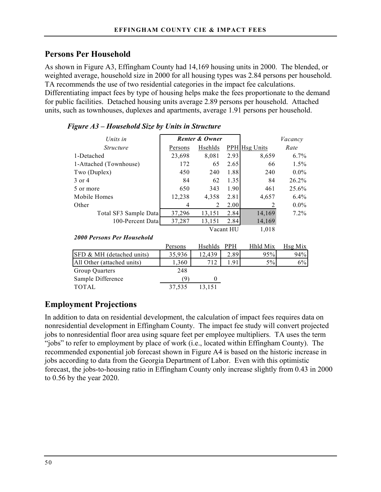# **Persons Per Household**

As shown in Figure A3, Effingham County had 14,169 housing units in 2000. The blended, or weighted average, household size in 2000 for all housing types was 2.84 persons per household. TA recommends the use of two residential categories in the impact fee calculations. Differentiating impact fees by type of housing helps make the fees proportionate to the demand for public facilities. Detached housing units average 2.89 persons per household. Attached units, such as townhouses, duplexes and apartments, average 1.91 persons per household.

| Units in               |         | Renter & Owner |           | Vacancy              |         |
|------------------------|---------|----------------|-----------|----------------------|---------|
| <i>Structure</i>       | Persons | Hsehlds        |           | <b>PPH</b> Hsg Units | Rate    |
| 1-Detached             | 23,698  | 8,081          | 2.93      | 8,659                | $6.7\%$ |
| 1-Attached (Townhouse) | 172     | 65             | 2.65      | 66                   | 1.5%    |
| Two (Duplex)           | 450     | 240            | 1.88      | 240                  | $0.0\%$ |
| 3 or 4                 | 84      | 62             | 1.35      | 84                   | 26.2%   |
| 5 or more              | 650     | 343            | 1.90      | 461                  | 25.6%   |
| Mobile Homes           | 12,238  | 4,358          | 2.81      | 4,657                | 6.4%    |
| Other                  | 4       | 2              | 2.00      | 2                    | $0.0\%$ |
| Total SF3 Sample Data  | 37,296  | 13,151         | 2.84      | 14,169               | 7.2%    |
| 100-Percent Data       | 37,287  | 13,151         | 2.84      | 14,169               |         |
|                        |         |                | Vacant HU | 1,018                |         |

### *Figure A3 – Household Size by Units in Structure*

#### *2000 Persons Per Household*

|                            | Persons | Hsehlds | <b>PPH</b> | Hhld Mix | Hsg Mix |
|----------------------------|---------|---------|------------|----------|---------|
| SFD & MH (detached units)  | 35,936  | 12,439  | 2.89       | 95%      | 94%     |
| All Other (attached units) | 1,360   | 712     | -91        | 5%       | 6%      |
| Group Quarters             | 248     |         |            |          |         |
| Sample Difference          |         |         |            |          |         |
| <b>TOTAL</b>               | 37,535  | 13.151  |            |          |         |

# **Employment Projections**

In addition to data on residential development, the calculation of impact fees requires data on nonresidential development in Effingham County. The impact fee study will convert projected jobs to nonresidential floor area using square feet per employee multipliers. TA uses the term "jobs" to refer to employment by place of work (i.e., located within Effingham County). The recommended exponential job forecast shown in Figure A4 is based on the historic increase in jobs according to data from the Georgia Department of Labor. Even with this optimistic forecast, the jobs-to-housing ratio in Effingham County only increase slightly from 0.43 in 2000 to 0.56 by the year 2020.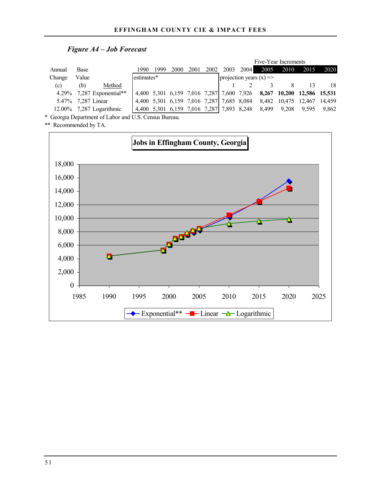### *Figure A4 – Job Forecast*

|        |                             |            |      |      |      |      |                                           |           | Five-Year Increments      |       |                                                                      |        |
|--------|-----------------------------|------------|------|------|------|------|-------------------------------------------|-----------|---------------------------|-------|----------------------------------------------------------------------|--------|
| Annual | Base                        | 1990       | 1999 | 2000 | 2001 | 2002 |                                           | 2003 2004 | 2005                      | 2010  | 2015                                                                 | 2020   |
| Change | Value                       | estimates* |      |      |      |      |                                           |           | projection years $(x)$ => |       |                                                                      |        |
| (c)    | Method<br>(b)               |            |      |      |      |      |                                           |           |                           |       |                                                                      | 18     |
|        | 4.29% 7.287 Exponential**   |            |      |      |      |      |                                           |           |                           |       | 4,400 5,301 6,159 7,016 7,287 7,600 7,926 8,267 10,200 12,586 15,531 |        |
|        | 5.47% 7,287 Linear          |            |      |      |      |      | 4,400 5,301 6,159 7,016 7,287 7,685 8,084 |           | 8,482 10,475 12,467       |       |                                                                      | 14,459 |
|        | $12.00\%$ 7,287 Logarithmic |            |      |      |      |      | 4,400 5,301 6,159 7,016 7,287 7,893 8,248 |           | 8,499                     | 9.208 | 9.595                                                                | 9.862  |

\* Georgia Department of Labor and U.S. Census Bureau.

\*\* Recommended by TA.

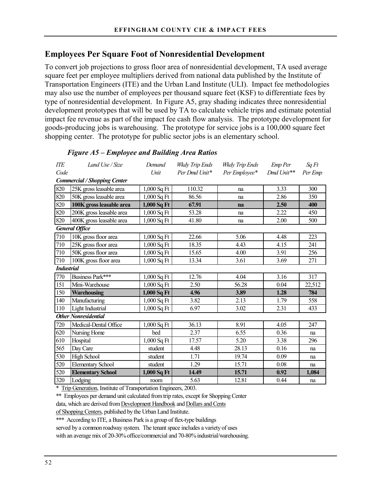### **Employees Per Square Foot of Nonresidential Development**

To convert job projections to gross floor area of nonresidential development, TA used average square feet per employee multipliers derived from national data published by the Institute of Transportation Engineers (ITE) and the Urban Land Institute (ULI). Impact fee methodologies may also use the number of employees per thousand square feet (KSF) to differentiate fees by type of nonresidential development. In Figure A5, gray shading indicates three nonresidential development prototypes that will be used by TA to calculate vehicle trips and estimate potential impact fee revenue as part of the impact fee cash flow analysis. The prototype development for goods-producing jobs is warehousing. The prototype for service jobs is a 100,000 square feet shopping center. The prototype for public sector jobs is an elementary school.

| <b>ITE</b>        | Land Use / Size                     | Demand        | Wkdy Trip Ends | Wkdy Trip Ends    | Emp Per    | SqFt    |
|-------------------|-------------------------------------|---------------|----------------|-------------------|------------|---------|
| Code              |                                     | Unit          | Per Dmd Unit*  | Per Employee*     | Dmd Unit** | Per Emp |
|                   | <b>Commercial / Shopping Center</b> |               |                |                   |            |         |
| 820               | 25K gross leasable area             | $1,000$ Sq Ft | 110.32         | na                | 3.33       | 300     |
| 820               | 50K gross leasable area             | $1,000$ Sq Ft | 86.56          | na                | 2.86       | 350     |
| 820               | 100K gross leasable area            | $1,000$ Sq Ft | 67.91          | na                | 2.50       | 400     |
| 820               | 200K gross leasable area            | 1,000 Sq Ft   | 53.28          | na                | 2.22       | 450     |
| 820               | 400K gross leasable area            | $1,000$ Sq Ft | 41.80          | na                | 2.00       | 500     |
|                   | <b>General Office</b>               |               |                |                   |            |         |
| 710               | 10K gross floor area                | $1,000$ Sq Ft | 22.66          | 5.06              | 4.48       | 223     |
| 710               | 25K gross floor area                | $1,000$ Sq Ft | 18.35          | 4.43              | 4.15       | 241     |
| 710               | 50K gross floor area                | $1,000$ Sq Ft | 15.65          | 4.00              | 3.91       | 256     |
| 710               | 100K gross floor area               | $1,000$ Sq Ft | 13.34          | 3.61              | 3.69       | 271     |
| <b>Industrial</b> |                                     |               |                |                   |            |         |
| 770               | Business Park***                    | $1,000$ Sq Ft | 12.76          | 4.04              | 3.16       | 317     |
| 151               | Mini-Warehouse                      | $1,000$ Sq Ft | 2.50           | 56.28             | 0.04       | 22,512  |
| 150               | <b>Warehousing</b>                  | 1,000 Sq Ft   | 4.96           | 3.89              | 1.28       | 784     |
| 140               | Manufacturing                       | 1,000 Sq Ft   | 3.82           | 2.13              | 1.79       | 558     |
| 110               | Light Industrial                    | $1,000$ Sq Ft | 6.97           | 3.02              | 2.31       | 433     |
|                   | <b>Other Nonresidential</b>         |               |                |                   |            |         |
| 720               | Medical-Dental Office               | $1,000$ Sq Ft | 36.13          | 8.91              | 4.05       | 247     |
| 620               | Nursing Home                        | bed           | 2.37           | 6.55              | 0.36       | na      |
| 610               | Hospital                            | $1,000$ Sq Ft | 17.57          | $\overline{5.20}$ | 3.38       | 296     |
| 565               | Day Care                            | student       | 4.48           | 28.13             | 0.16       | na      |
| 530               | <b>High School</b>                  | student       | 1.71           | 19.74             | 0.09       | na      |
| 520               | <b>Elementary School</b>            | student       | 1.29           | 15.71             | 0.08       | na      |
| 520               | <b>Elementary School</b>            | $1,000$ Sq Ft | 14.49          | 15.71             | 0.92       | 1,084   |
| 320               | Lodging                             | room          | 5.63           | 12.81             | 0.44       | na      |

#### *Figure A5 – Employee and Building Area Ratios*

\* Trip Generation, Institute of Transportation Engineers, 2003.

\*\* Employees per demand unit calculated from trip rates, except for Shopping Center

data, which are derived from Development Handbook and Dollars and Cents

of Shopping Centers, published by the Urban Land Institute.

\*\*\* According to ITE, a Business Park is a group of flex-type buildings

served by a common roadway system. The tenant space includes a variety of uses

with an average mix of 20-30% office/commercial and 70-80% industrial/warehousing.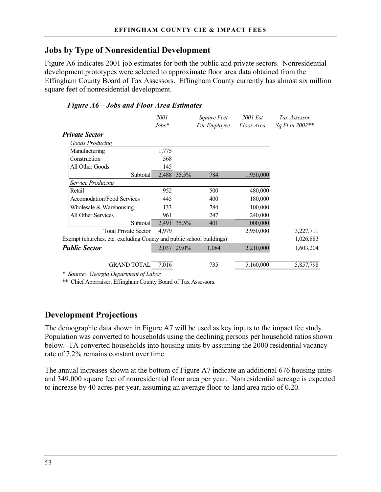### **Jobs by Type of Nonresidential Development**

Figure A6 indicates 2001 job estimates for both the public and private sectors. Nonresidential development prototypes were selected to approximate floor area data obtained from the Effingham County Board of Tax Assessors. Effingham County currently has almost six million square feet of nonresidential development.

### *Figure A6 – Jobs and Floor Area Estimates*

|                                                                      | <i>2001</i> |             | Square Feet  | 2001 Est   | Tax Assessor    |
|----------------------------------------------------------------------|-------------|-------------|--------------|------------|-----------------|
|                                                                      | $Jobs*$     |             | Per Employee | Floor Area | Sq Ft in 2002** |
| <b>Private Sector</b>                                                |             |             |              |            |                 |
| <b>Goods Producing</b>                                               |             |             |              |            |                 |
| Manufacturing                                                        | 1,775       |             |              |            |                 |
| Construction                                                         | 568         |             |              |            |                 |
| All Other Goods                                                      | 145         |             |              |            |                 |
| Subtotal                                                             |             | 2,488 35.5% | 784          | 1,950,000  |                 |
| Service Producing                                                    |             |             |              |            |                 |
| Retail                                                               | 952         |             | 500          | 480,000    |                 |
| <b>Accomodation/Food Services</b>                                    | 445         |             | 400          | 180,000    |                 |
| Wholesale $&$ Warehousing                                            | 133         |             | 784          | 100,000    |                 |
| All Other Services                                                   | 961         |             | 247          | 240,000    |                 |
| Subtotal                                                             | 2,491       | 35.5%       | 401          | 1,000,000  |                 |
| <b>Total Private Sector</b>                                          | 4,979       |             |              | 2,950,000  | 3,227,711       |
| Exempt (churches, etc. excluding County and public school buildings) |             |             |              |            | 1,026,883       |
| <b>Public Sector</b>                                                 |             | 2,037 29.0% | 1,084        | 2,210,000  | 1,603,204       |
|                                                                      |             |             |              |            |                 |
| <b>GRAND TOTAL</b>                                                   | 7,016       |             | 735          | 5,160,000  | 5,857,798       |

*\* Source: Georgia Department of Labor.*

\*\* Chief Apprraiser, Effingham County Board of Tax Assessors.

# **Development Projections**

The demographic data shown in Figure A7 will be used as key inputs to the impact fee study. Population was converted to households using the declining persons per household ratios shown below. TA converted households into housing units by assuming the 2000 residential vacancy rate of 7.2% remains constant over time.

The annual increases shown at the bottom of Figure A7 indicate an additional 676 housing units and 349,000 square feet of nonresidential floor area per year. Nonresidential acreage is expected to increase by 40 acres per year, assuming an average floor-to-land area ratio of 0.20.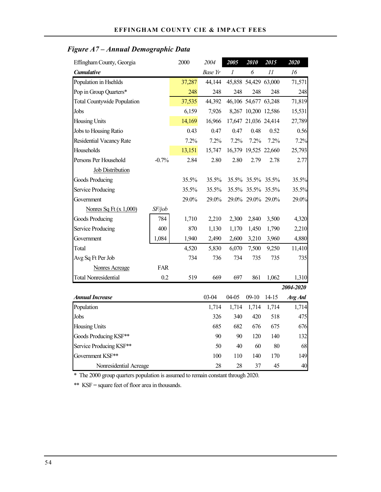# *Figure A7 – Annual Demographic Data*

| Effingham County, Georgia          |         | 2000   | 2004           | 2005  | 2010                 | 2015      | 2020      |
|------------------------------------|---------|--------|----------------|-------|----------------------|-----------|-----------|
| <b>Cumulative</b>                  |         |        | <b>Base Yr</b> | 1     | 6                    | II        | 16        |
| Population in Hsehlds              |         | 37,287 | 44,144         |       | 45,858 54,429 63,000 |           | 71,571    |
| Pop in Group Quarters*             |         | 248    | 248            | 248   | 248                  | 248       | 248       |
| <b>Total Countywide Population</b> |         | 37,535 | 44,392         |       | 46,106 54,677 63,248 |           | 71,819    |
| Jobs                               |         | 6,159  | 7,926          |       | 8,267 10,200 12,586  |           | 15,531    |
| <b>Housing Units</b>               |         | 14,169 | 16,966         |       | 17,647 21,036 24,414 |           | 27,789    |
| Jobs to Housing Ratio              |         | 0.43   | 0.47           | 0.47  | 0.48                 | 0.52      | 0.56      |
| <b>Residential Vacancy Rate</b>    |         | 7.2%   | 7.2%           | 7.2%  | 7.2%                 | 7.2%      | 7.2%      |
| Households                         |         | 13,151 | 15,747         |       | 16,379 19,525 22,660 |           | 25,793    |
| Persons Per Household              | $-0.7%$ | 2.84   | 2.80           | 2.80  | 2.79                 | 2.78      | 2.77      |
| <b>Job Distribution</b>            |         |        |                |       |                      |           |           |
| Goods Producing                    |         | 35.5%  | 35.5%          |       | 35.5% 35.5% 35.5%    |           | 35.5%     |
| Service Producing                  |         | 35.5%  | 35.5%          |       | 35.5% 35.5% 35.5%    |           | 35.5%     |
| Government                         |         | 29.0%  | 29.0%          |       | 29.0% 29.0% 29.0%    |           | 29.0%     |
| Nonres Sq Ft $(x 1,000)$           | SF/job  |        |                |       |                      |           |           |
| Goods Producing                    | 784     | 1,710  | 2,210          | 2,300 | 2,840                | 3,500     | 4,320     |
| Service Producing                  | 400     | 870    | 1,130          | 1,170 | 1,450                | 1,790     | 2,210     |
| Government                         | 1,084   | 1,940  | 2,490          | 2,600 | 3,210                | 3,960     | 4,880     |
| Total                              |         | 4,520  | 5,830          | 6,070 | 7,500                | 9,250     | 11,410    |
| Avg Sq Ft Per Job                  |         | 734    | 736            | 734   | 735                  | 735       | 735       |
| <b>Nonres Acreage</b>              | FAR     |        |                |       |                      |           |           |
| <b>Total Nonresidential</b>        | 0.2     | 519    | 669            | 697   | 861                  | 1,062     | 1,310     |
|                                    |         |        |                |       |                      |           | 2004-2020 |
| <b>Annual Increase</b>             |         |        | 03-04          | 04-05 | $09-10$              | $14 - 15$ | Avg Anl   |
| Population                         |         |        | 1,714          | 1,714 | 1,714                | 1,714     | 1,714     |
| Jobs                               |         |        | 326            | 340   | 420                  | 518       | 475       |
| <b>Housing Units</b>               |         |        | 685            | 682   | 676                  | 675       | 676       |
| Goods Producing KSF**              |         |        | 90             | 90    | 120                  | 140       | 132       |
| Service Producing KSF**            |         |        | 50             | 40    | 60                   | 80        | 68        |
| Government KSF**                   |         |        | 100            | 110   | 140                  | 170       | 149       |
| Nonresidential Acreage             |         |        | 28             | 28    | 37                   | 45        | 40        |

\* The 2000 group quarters population is assumed to remain constant through 2020.

\*\* KSF = square feet of floor area in thousands.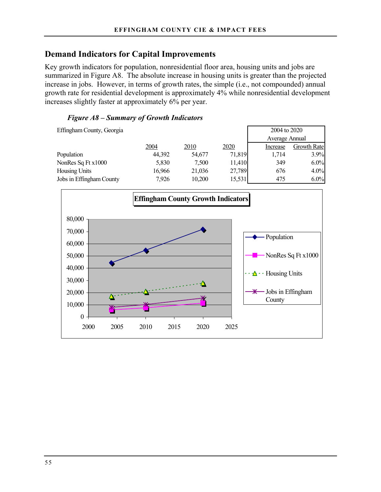### **Demand Indicators for Capital Improvements**

Key growth indicators for population, nonresidential floor area, housing units and jobs are summarized in Figure A8. The absolute increase in housing units is greater than the projected increase in jobs. However, in terms of growth rates, the simple (i.e., not compounded) annual growth rate for residential development is approximately 4% while nonresidential development increases slightly faster at approximately 6% per year.

### *Figure A8 – Summary of Growth Indicators*

Effingham County, Georgia 2004 to 2020 Average Annual 2004 2010 2020 Increase Growth Rate Population **44,392** 54,677 71,819 1,714 3.9% NonRes Sq Ft x1000 5,830 7,500 11,410 349 6.0% Housing Units 16,966 21,036 27,789 676 4.0% Jobs in Effingham County 7,926 10,200 15,531 475 6.0%